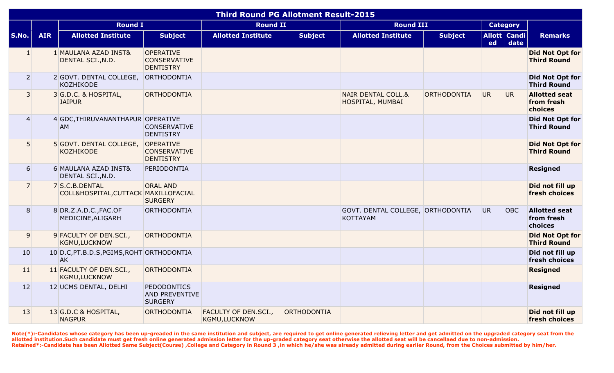|                  |            |                                                        |                                                               | <b>Third Round PG Allotment Result-2015</b>  |                |                                                      |                |           |                        |                                               |
|------------------|------------|--------------------------------------------------------|---------------------------------------------------------------|----------------------------------------------|----------------|------------------------------------------------------|----------------|-----------|------------------------|-----------------------------------------------|
|                  |            | <b>Round I</b>                                         |                                                               | <b>Round II</b>                              |                | <b>Round III</b>                                     |                |           | <b>Category</b>        |                                               |
| S.No.            | <b>AIR</b> | <b>Allotted Institute</b>                              | <b>Subject</b>                                                | <b>Allotted Institute</b>                    | <b>Subject</b> | <b>Allotted Institute</b>                            | <b>Subject</b> | ed        | Allott   Candi<br>date | <b>Remarks</b>                                |
| $\mathbf{1}$     |            | 1 MAULANA AZAD INST&<br>DENTAL SCI., N.D.              | OPERATIVE<br><b>CONSERVATIVE</b><br><b>DENTISTRY</b>          |                                              |                |                                                      |                |           |                        | Did Not Opt for<br><b>Third Round</b>         |
| $\overline{2}$   |            | 2 GOVT. DENTAL COLLEGE,<br><b>KOZHIKODE</b>            | ORTHODONTIA                                                   |                                              |                |                                                      |                |           |                        | Did Not Opt for<br><b>Third Round</b>         |
| $\overline{3}$   |            | 3 G.D.C. & HOSPITAL,<br><b>JAIPUR</b>                  | <b>ORTHODONTIA</b>                                            |                                              |                | <b>NAIR DENTAL COLL.&amp;</b><br>HOSPITAL, MUMBAI    | ORTHODONTIA    | <b>UR</b> | UR.                    | <b>Allotted seat</b><br>from fresh<br>choices |
| $\overline{4}$   |            | 4 GDC, THIRUVANANTHAPUR OPERATIVE<br><b>AM</b>         | <b>CONSERVATIVE</b><br><b>DENTISTRY</b>                       |                                              |                |                                                      |                |           |                        | Did Not Opt for<br><b>Third Round</b>         |
| 5                |            | 5 GOVT. DENTAL COLLEGE,<br><b>KOZHIKODE</b>            | OPERATIVE<br><b>CONSERVATIVE</b><br><b>DENTISTRY</b>          |                                              |                |                                                      |                |           |                        | <b>Did Not Opt for</b><br><b>Third Round</b>  |
| $6 \overline{6}$ |            | 6 MAULANA AZAD INST&<br>DENTAL SCI., N.D.              | PERIODONTIA                                                   |                                              |                |                                                      |                |           |                        | Resigned                                      |
| $\overline{7}$   |            | 7 S.C.B.DENTAL<br>COLL&HOSPITAL, CUTTACK MAXILLOFACIAL | <b>ORAL AND</b><br><b>SURGERY</b>                             |                                              |                |                                                      |                |           |                        | Did not fill up<br>fresh choices              |
| 8 <sup>1</sup>   |            | 8 DR.Z.A.D.C., FAC.OF<br>MEDICINE, ALIGARH             | ORTHODONTIA                                                   |                                              |                | GOVT. DENTAL COLLEGE, ORTHODONTIA<br><b>KOTTAYAM</b> |                | UR.       | OBC                    | <b>Allotted seat</b><br>from fresh<br>choices |
| $\overline{9}$   |            | 9 FACULTY OF DEN.SCI.,<br><b>KGMU,LUCKNOW</b>          | ORTHODONTIA                                                   |                                              |                |                                                      |                |           |                        | <b>Did Not Opt for</b><br><b>Third Round</b>  |
| 10               |            | 10 D.C, PT.B.D.S, PGIMS, ROHT ORTHODONTIA<br><b>AK</b> |                                                               |                                              |                |                                                      |                |           |                        | Did not fill up<br>fresh choices              |
| 11               |            | 11 FACULTY OF DEN.SCI.,<br><b>KGMU, LUCKNOW</b>        | <b>ORTHODONTIA</b>                                            |                                              |                |                                                      |                |           |                        | <b>Resigned</b>                               |
| 12               |            | 12 UCMS DENTAL, DELHI                                  | <b>PEDODONTICS</b><br><b>AND PREVENTIVE</b><br><b>SURGERY</b> |                                              |                |                                                      |                |           |                        | Resigned                                      |
| 13               |            | 13 G.D.C & HOSPITAL,<br><b>NAGPUR</b>                  | ORTHODONTIA                                                   | <b>FACULTY OF DEN.SCI.,</b><br>KGMU, LUCKNOW | ORTHODONTIA    |                                                      |                |           |                        | Did not fill up<br>fresh choices              |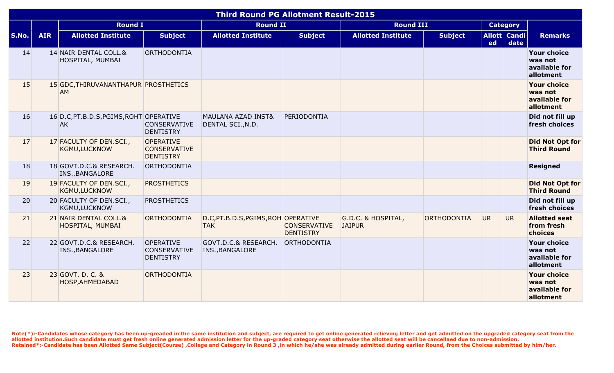|       |            |                                                      |                                                             | <b>Third Round PG Allotment Result-2015</b>        |                                         |                                     |                |     |                          |                                                             |
|-------|------------|------------------------------------------------------|-------------------------------------------------------------|----------------------------------------------------|-----------------------------------------|-------------------------------------|----------------|-----|--------------------------|-------------------------------------------------------------|
|       |            | <b>Round I</b>                                       |                                                             | <b>Round II</b>                                    |                                         | <b>Round III</b>                    |                |     | <b>Category</b>          |                                                             |
| S.No. | <b>AIR</b> | <b>Allotted Institute</b>                            | <b>Subject</b>                                              | <b>Allotted Institute</b>                          | <b>Subject</b>                          | <b>Allotted Institute</b>           | <b>Subject</b> | ed  | Allott   Candi  <br>date | <b>Remarks</b>                                              |
| 14    |            | 14 NAIR DENTAL COLL.&<br>HOSPITAL, MUMBAI            | ORTHODONTIA                                                 |                                                    |                                         |                                     |                |     |                          | <b>Your choice</b><br>was not<br>available for<br>allotment |
| 15    |            | 15 GDC, THIRUVANANTHAPUR PROSTHETICS<br>AM           |                                                             |                                                    |                                         |                                     |                |     |                          | <b>Your choice</b><br>was not<br>available for<br>allotment |
| 16    |            | 16 D.C, PT.B.D.S, PGIMS, ROHT OPERATIVE<br><b>AK</b> | <b>CONSERVATIVE</b><br><b>DENTISTRY</b>                     | <b>MAULANA AZAD INST&amp;</b><br>DENTAL SCI., N.D. | PERIODONTIA                             |                                     |                |     |                          | Did not fill up<br>fresh choices                            |
| 17    |            | 17 FACULTY OF DEN.SCI.,<br><b>KGMU,LUCKNOW</b>       | <b>OPERATIVE</b><br><b>CONSERVATIVE</b><br><b>DENTISTRY</b> |                                                    |                                         |                                     |                |     |                          | <b>Did Not Opt for</b><br><b>Third Round</b>                |
| 18    |            | 18 GOVT.D.C.& RESEARCH.<br>INS., BANGALORE           | ORTHODONTIA                                                 |                                                    |                                         |                                     |                |     |                          | <b>Resigned</b>                                             |
| 19    |            | 19 FACULTY OF DEN.SCI.,<br><b>KGMU,LUCKNOW</b>       | <b>PROSTHETICS</b>                                          |                                                    |                                         |                                     |                |     |                          | <b>Did Not Opt for</b><br><b>Third Round</b>                |
| 20    |            | 20 FACULTY OF DEN.SCI.,<br>KGMU, LUCKNOW             | <b>PROSTHETICS</b>                                          |                                                    |                                         |                                     |                |     |                          | Did not fill up<br>fresh choices                            |
| 21    |            | 21 NAIR DENTAL COLL.&<br>HOSPITAL, MUMBAI            | ORTHODONTIA                                                 | D.C, PT.B.D.S, PGIMS, ROH OPERATIVE<br><b>TAK</b>  | <b>CONSERVATIVE</b><br><b>DENTISTRY</b> | G.D.C. & HOSPITAL,<br><b>JAIPUR</b> | ORTHODONTIA    | UR. | UR.                      | <b>Allotted seat</b><br>from fresh<br>choices               |
| 22    |            | 22 GOVT.D.C.& RESEARCH.<br>INS., BANGALORE           | <b>OPERATIVE</b><br><b>CONSERVATIVE</b><br><b>DENTISTRY</b> | GOVT.D.C.& RESEARCH.<br>INS., BANGALORE            | ORTHODONTIA                             |                                     |                |     |                          | <b>Your choice</b><br>was not<br>available for<br>allotment |
| 23    |            | 23 GOVT. D. C. &<br>HOSP, AHMEDABAD                  | ORTHODONTIA                                                 |                                                    |                                         |                                     |                |     |                          | <b>Your choice</b><br>was not<br>available for<br>allotment |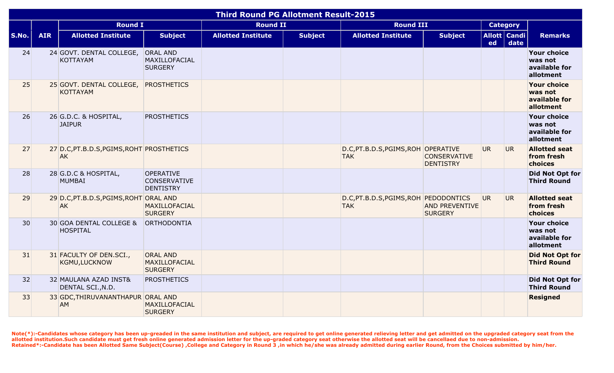|       |            |                                                        |                                                      | <b>Third Round PG Allotment Result-2015</b> |                |                                                     |                                         |                |                      |                                                             |
|-------|------------|--------------------------------------------------------|------------------------------------------------------|---------------------------------------------|----------------|-----------------------------------------------------|-----------------------------------------|----------------|----------------------|-------------------------------------------------------------|
|       |            | <b>Round I</b>                                         |                                                      | <b>Round II</b>                             |                | <b>Round III</b>                                    |                                         |                | <b>Category</b>      |                                                             |
| S.No. | <b>AIR</b> | <b>Allotted Institute</b>                              | <b>Subject</b>                                       | <b>Allotted Institute</b>                   | <b>Subject</b> | <b>Allotted Institute</b>                           | <b>Subject</b>                          | ed             | Allott Candi<br>date | <b>Remarks</b>                                              |
| 24    |            | 24 GOVT. DENTAL COLLEGE,<br><b>KOTTAYAM</b>            | <b>ORAL AND</b><br>MAXILLOFACIAL<br><b>SURGERY</b>   |                                             |                |                                                     |                                         |                |                      | Your choice<br>was not<br>available for<br>allotment        |
| 25    |            | 25 GOVT. DENTAL COLLEGE,<br><b>KOTTAYAM</b>            | <b>PROSTHETICS</b>                                   |                                             |                |                                                     |                                         |                |                      | <b>Your choice</b><br>was not<br>available for<br>allotment |
| 26    |            | 26 G.D.C. & HOSPITAL,<br><b>JAIPUR</b>                 | <b>PROSTHETICS</b>                                   |                                             |                |                                                     |                                         |                |                      | <b>Your choice</b><br>was not<br>available for<br>allotment |
| 27    |            | 27 D.C, PT.B.D.S, PGIMS, ROHT PROSTHETICS<br><b>AK</b> |                                                      |                                             |                | D.C, PT.B.D.S, PGIMS, ROH OPERATIVE<br><b>TAK</b>   | <b>CONSERVATIVE</b><br><b>DENTISTRY</b> | <b>UR</b>      | <b>UR</b>            | <b>Allotted seat</b><br>from fresh<br>choices               |
| 28    |            | 28 G.D.C & HOSPITAL,<br><b>MUMBAI</b>                  | OPERATIVE<br><b>CONSERVATIVE</b><br><b>DENTISTRY</b> |                                             |                |                                                     |                                         |                |                      | Did Not Opt for<br><b>Third Round</b>                       |
| 29    |            | 29 D.C, PT.B.D.S, PGIMS, ROHT ORAL AND<br><b>AK</b>    | MAXILLOFACIAL<br><b>SURGERY</b>                      |                                             |                | D.C, PT.B.D.S, PGIMS, ROH PEDODONTICS<br><b>TAK</b> | <b>AND PREVENTIVE</b><br><b>SURGERY</b> | UR <sub></sub> | <b>UR</b>            | <b>Allotted seat</b><br>from fresh<br>choices               |
| 30    |            | 30 GOA DENTAL COLLEGE &<br><b>HOSPITAL</b>             | ORTHODONTIA                                          |                                             |                |                                                     |                                         |                |                      | <b>Your choice</b><br>was not<br>available for<br>allotment |
| 31    |            | 31 FACULTY OF DEN.SCI.,<br><b>KGMU,LUCKNOW</b>         | <b>ORAL AND</b><br>MAXILLOFACIAL<br><b>SURGERY</b>   |                                             |                |                                                     |                                         |                |                      | <b>Did Not Opt for</b><br><b>Third Round</b>                |
| 32    |            | 32 MAULANA AZAD INST&<br>DENTAL SCI., N.D.             | <b>PROSTHETICS</b>                                   |                                             |                |                                                     |                                         |                |                      | <b>Did Not Opt for</b><br><b>Third Round</b>                |
| 33    |            | 33 GDC, THIRUVANANTHAPUR ORAL AND<br><b>AM</b>         | <b>MAXILLOFACIAL</b><br><b>SURGERY</b>               |                                             |                |                                                     |                                         |                |                      | <b>Resigned</b>                                             |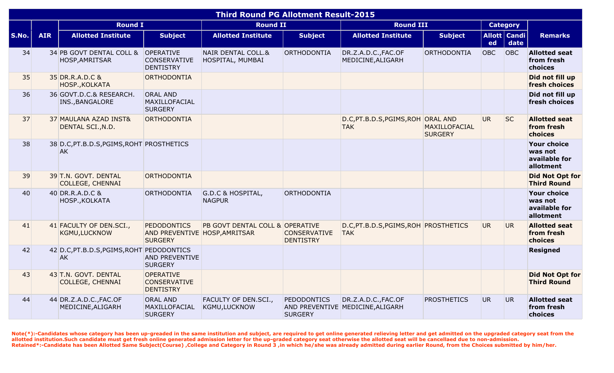|       |            |                                                        |                                                                       | <b>Third Round PG Allotment Result-2015</b>  |                                         |                                                         |                                 |           |                          |                                                             |
|-------|------------|--------------------------------------------------------|-----------------------------------------------------------------------|----------------------------------------------|-----------------------------------------|---------------------------------------------------------|---------------------------------|-----------|--------------------------|-------------------------------------------------------------|
|       |            | <b>Round I</b>                                         |                                                                       | <b>Round II</b>                              |                                         | <b>Round III</b>                                        |                                 |           | <b>Category</b>          |                                                             |
| S.No. | <b>AIR</b> | <b>Allotted Institute</b>                              | <b>Subject</b>                                                        | <b>Allotted Institute</b>                    | <b>Subject</b>                          | <b>Allotted Institute</b>                               | <b>Subject</b>                  | ed        | Allott   Candi  <br>date | <b>Remarks</b>                                              |
| 34    |            | 34 PB GOVT DENTAL COLL & OPERATIVE<br>HOSP, AMRITSAR   | <b>CONSERVATIVE</b><br><b>DENTISTRY</b>                               | NAIR DENTAL COLL.&<br>HOSPITAL, MUMBAI       | ORTHODONTIA                             | DR.Z.A.D.C., FAC.OF<br>MEDICINE, ALIGARH                | <b>ORTHODONTIA</b>              | OBC       | OBC                      | <b>Allotted seat</b><br>from fresh<br>choices               |
| 35    |            | 35 DR.R.A.D.C &<br>HOSP., KOLKATA                      | ORTHODONTIA                                                           |                                              |                                         |                                                         |                                 |           |                          | Did not fill up<br>fresh choices                            |
| 36    |            | 36 GOVT.D.C.& RESEARCH.<br>INS., BANGALORE             | <b>ORAL AND</b><br>MAXILLOFACIAL<br><b>SURGERY</b>                    |                                              |                                         |                                                         |                                 |           |                          | Did not fill up<br>fresh choices                            |
| 37    |            | 37 MAULANA AZAD INST&<br>DENTAL SCI., N.D.             | ORTHODONTIA                                                           |                                              |                                         | D.C, PT.B.D.S, PGIMS, ROH ORAL AND<br><b>TAK</b>        | MAXILLOFACIAL<br><b>SURGERY</b> | <b>UR</b> | <b>SC</b>                | <b>Allotted seat</b><br>from fresh<br>choices               |
| 38    |            | 38 D.C, PT.B.D.S, PGIMS, ROHT PROSTHETICS<br><b>AK</b> |                                                                       |                                              |                                         |                                                         |                                 |           |                          | <b>Your choice</b><br>was not<br>available for<br>allotment |
| 39    |            | 39 T.N. GOVT. DENTAL<br><b>COLLEGE, CHENNAI</b>        | ORTHODONTIA                                                           |                                              |                                         |                                                         |                                 |           |                          | <b>Did Not Opt for</b><br><b>Third Round</b>                |
| 40    |            | 40 DR.R.A.D.C &<br>HOSP., KOLKATA                      | ORTHODONTIA                                                           | G.D.C & HOSPITAL,<br><b>NAGPUR</b>           | <b>ORTHODONTIA</b>                      |                                                         |                                 |           |                          | <b>Your choice</b><br>was not<br>available for<br>allotment |
| 41    |            | 41 FACULTY OF DEN.SCI.,<br>KGMU,LUCKNOW                | <b>PEDODONTICS</b><br>AND PREVENTIVE HOSP, AMRITSAR<br><b>SURGERY</b> | PB GOVT DENTAL COLL & OPERATIVE              | <b>CONSERVATIVE</b><br><b>DENTISTRY</b> | D.C, PT.B.D.S, PGIMS, ROH PROSTHETICS<br><b>TAK</b>     |                                 | UR.       | UR.                      | <b>Allotted seat</b><br>from fresh<br>choices               |
| 42    |            | 42 D.C, PT.B.D.S, PGIMS, ROHT PEDODONTICS<br><b>AK</b> | <b>AND PREVENTIVE</b><br><b>SURGERY</b>                               |                                              |                                         |                                                         |                                 |           |                          | <b>Resigned</b>                                             |
| 43    |            | 43 T.N. GOVT. DENTAL<br><b>COLLEGE, CHENNAI</b>        | <b>OPERATIVE</b><br><b>CONSERVATIVE</b><br><b>DENTISTRY</b>           |                                              |                                         |                                                         |                                 |           |                          | <b>Did Not Opt for</b><br><b>Third Round</b>                |
| 44    |            | 44 DR.Z.A.D.C., FAC.OF<br>MEDICINE, ALIGARH            | <b>ORAL AND</b><br>MAXILLOFACIAL<br><b>SURGERY</b>                    | FACULTY OF DEN.SCI.,<br><b>KGMU, LUCKNOW</b> | <b>PEDODONTICS</b><br><b>SURGERY</b>    | DR.Z.A.D.C., FAC.OF<br>AND PREVENTIVE MEDICINE, ALIGARH | <b>PROSTHETICS</b>              | UR.       | UR.                      | <b>Allotted seat</b><br>from fresh<br>choices               |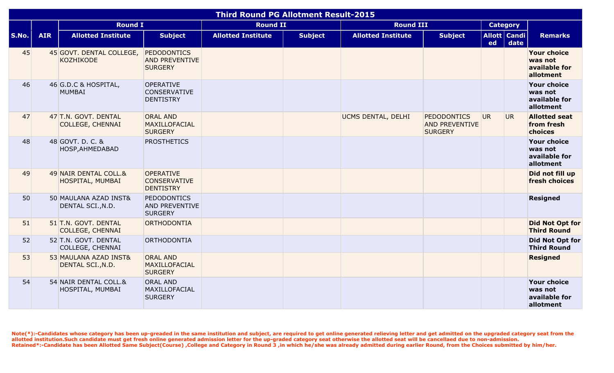|              |            |                                                 |                                                               | <b>Third Round PG Allotment Result-2015</b> |                |                           |                                                               |    |                      |                                                             |
|--------------|------------|-------------------------------------------------|---------------------------------------------------------------|---------------------------------------------|----------------|---------------------------|---------------------------------------------------------------|----|----------------------|-------------------------------------------------------------|
|              |            | <b>Round I</b>                                  |                                                               | <b>Round II</b>                             |                | <b>Round III</b>          |                                                               |    | <b>Category</b>      |                                                             |
| <b>S.No.</b> | <b>AIR</b> | <b>Allotted Institute</b>                       | <b>Subject</b>                                                | <b>Allotted Institute</b>                   | <b>Subject</b> | <b>Allotted Institute</b> | <b>Subject</b>                                                | ed | Allott Candi<br>date | <b>Remarks</b>                                              |
| 45           |            | 45 GOVT. DENTAL COLLEGE,<br><b>KOZHIKODE</b>    | <b>PEDODONTICS</b><br><b>AND PREVENTIVE</b><br><b>SURGERY</b> |                                             |                |                           |                                                               |    |                      | <b>Your choice</b><br>was not<br>available for<br>allotment |
| 46           |            | 46 G.D.C & HOSPITAL,<br><b>MUMBAI</b>           | <b>OPERATIVE</b><br><b>CONSERVATIVE</b><br><b>DENTISTRY</b>   |                                             |                |                           |                                                               |    |                      | <b>Your choice</b><br>was not<br>available for<br>allotment |
| 47           |            | 47 T.N. GOVT. DENTAL<br><b>COLLEGE, CHENNAI</b> | <b>ORAL AND</b><br>MAXILLOFACIAL<br><b>SURGERY</b>            |                                             |                | UCMS DENTAL, DELHI        | <b>PEDODONTICS</b><br><b>AND PREVENTIVE</b><br><b>SURGERY</b> | UR | UR <sub>1</sub>      | <b>Allotted seat</b><br>from fresh<br>choices               |
| 48           |            | 48 GOVT. D. C. &<br>HOSP, AHMEDABAD             | <b>PROSTHETICS</b>                                            |                                             |                |                           |                                                               |    |                      | <b>Your choice</b><br>was not<br>available for<br>allotment |
| 49           |            | 49 NAIR DENTAL COLL.&<br>HOSPITAL, MUMBAI       | <b>OPERATIVE</b><br><b>CONSERVATIVE</b><br><b>DENTISTRY</b>   |                                             |                |                           |                                                               |    |                      | Did not fill up<br>fresh choices                            |
| 50           |            | 50 MAULANA AZAD INST&<br>DENTAL SCI., N.D.      | <b>PEDODONTICS</b><br><b>AND PREVENTIVE</b><br><b>SURGERY</b> |                                             |                |                           |                                                               |    |                      | <b>Resigned</b>                                             |
| 51           |            | 51 T.N. GOVT. DENTAL<br><b>COLLEGE, CHENNAI</b> | ORTHODONTIA                                                   |                                             |                |                           |                                                               |    |                      | <b>Did Not Opt for</b><br><b>Third Round</b>                |
| 52           |            | 52 T.N. GOVT. DENTAL<br>COLLEGE, CHENNAI        | ORTHODONTIA                                                   |                                             |                |                           |                                                               |    |                      | Did Not Opt for<br><b>Third Round</b>                       |
| 53           |            | 53 MAULANA AZAD INST&<br>DENTAL SCI., N.D.      | <b>ORAL AND</b><br>MAXILLOFACIAL<br><b>SURGERY</b>            |                                             |                |                           |                                                               |    |                      | <b>Resigned</b>                                             |
| 54           |            | 54 NAIR DENTAL COLL.&<br>HOSPITAL, MUMBAI       | <b>ORAL AND</b><br>MAXILLOFACIAL<br><b>SURGERY</b>            |                                             |                |                           |                                                               |    |                      | <b>Your choice</b><br>was not<br>available for<br>allotment |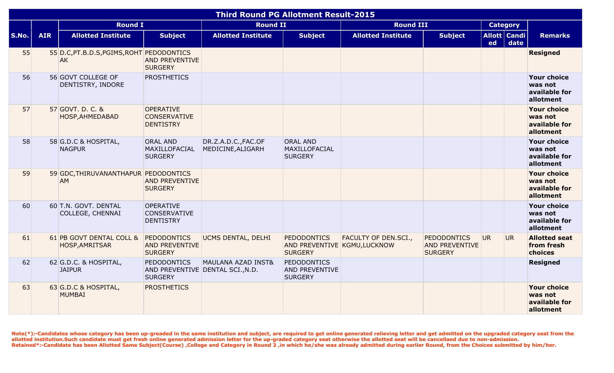|       |            |                                                        |                                                                          | <b>Third Round PG Allotment Result-2015</b> |                                                                      |                             |                                                               |     |                        |                                                             |
|-------|------------|--------------------------------------------------------|--------------------------------------------------------------------------|---------------------------------------------|----------------------------------------------------------------------|-----------------------------|---------------------------------------------------------------|-----|------------------------|-------------------------------------------------------------|
|       |            | <b>Round I</b>                                         |                                                                          | <b>Round II</b>                             |                                                                      | <b>Round III</b>            |                                                               |     | <b>Category</b>        |                                                             |
| S.No. | <b>AIR</b> | <b>Allotted Institute</b>                              | <b>Subject</b>                                                           | <b>Allotted Institute</b>                   | <b>Subject</b>                                                       | <b>Allotted Institute</b>   | <b>Subject</b>                                                | ed  | Allott   Candi<br>date | <b>Remarks</b>                                              |
| 55    |            | 55 D.C, PT.B.D.S, PGIMS, ROHT PEDODONTICS<br><b>AK</b> | <b>AND PREVENTIVE</b><br><b>SURGERY</b>                                  |                                             |                                                                      |                             |                                                               |     |                        | <b>Resigned</b>                                             |
| 56    |            | 56 GOVT COLLEGE OF<br>DENTISTRY, INDORE                | <b>PROSTHETICS</b>                                                       |                                             |                                                                      |                             |                                                               |     |                        | <b>Your choice</b><br>was not<br>available for<br>allotment |
| 57    |            | 57 GOVT. D. C. &<br>HOSP, AHMEDABAD                    | <b>OPERATIVE</b><br><b>CONSERVATIVE</b><br><b>DENTISTRY</b>              |                                             |                                                                      |                             |                                                               |     |                        | <b>Your choice</b><br>was not<br>available for<br>allotment |
| 58    |            | 58 G.D.C & HOSPITAL,<br><b>NAGPUR</b>                  | <b>ORAL AND</b><br>MAXILLOFACIAL<br><b>SURGERY</b>                       | DR.Z.A.D.C., FAC.OF<br>MEDICINE, ALIGARH    | <b>ORAL AND</b><br>MAXILLOFACIAL<br><b>SURGERY</b>                   |                             |                                                               |     |                        | <b>Your choice</b><br>was not<br>available for<br>allotment |
| 59    |            | 59 GDC, THIRUVANANTHAPUR PEDODONTICS<br><b>AM</b>      | <b>AND PREVENTIVE</b><br><b>SURGERY</b>                                  |                                             |                                                                      |                             |                                                               |     |                        | <b>Your choice</b><br>was not<br>available for<br>allotment |
| 60    |            | 60 T.N. GOVT. DENTAL<br>COLLEGE, CHENNAI               | <b>OPERATIVE</b><br><b>CONSERVATIVE</b><br><b>DENTISTRY</b>              |                                             |                                                                      |                             |                                                               |     |                        | <b>Your choice</b><br>was not<br>available for<br>allotment |
| 61    |            | 61 PB GOVT DENTAL COLL &<br>HOSP, AMRITSAR             | <b>PEDODONTICS</b><br><b>AND PREVENTIVE</b><br><b>SURGERY</b>            | UCMS DENTAL, DELHI                          | <b>PEDODONTICS</b><br>AND PREVENTIVE KGMU, LUCKNOW<br><b>SURGERY</b> | <b>FACULTY OF DEN.SCI.,</b> | <b>PEDODONTICS</b><br><b>AND PREVENTIVE</b><br><b>SURGERY</b> | UR. | UR.                    | <b>Allotted seat</b><br>from fresh<br>choices               |
| 62    |            | 62 G.D.C. & HOSPITAL,<br><b>JAIPUR</b>                 | <b>PEDODONTICS</b><br>AND PREVENTIVE DENTAL SCI., N.D.<br><b>SURGERY</b> | <b>MAULANA AZAD INST&amp;</b>               | <b>PEDODONTICS</b><br><b>AND PREVENTIVE</b><br><b>SURGERY</b>        |                             |                                                               |     |                        | <b>Resigned</b>                                             |
| 63    |            | 63 G.D.C & HOSPITAL,<br><b>MUMBAI</b>                  | <b>PROSTHETICS</b>                                                       |                                             |                                                                      |                             |                                                               |     |                        | <b>Your choice</b><br>was not<br>available for<br>allotment |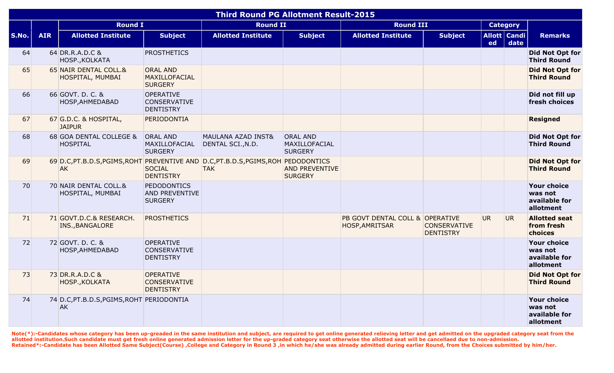|              |            |                                                                                       |                                                               | <b>Third Round PG Allotment Result-2015</b> |                                                    |                                                   |                                         |                 |                          |                                                             |
|--------------|------------|---------------------------------------------------------------------------------------|---------------------------------------------------------------|---------------------------------------------|----------------------------------------------------|---------------------------------------------------|-----------------------------------------|-----------------|--------------------------|-------------------------------------------------------------|
|              |            | <b>Round I</b>                                                                        |                                                               | <b>Round II</b>                             |                                                    | <b>Round III</b>                                  |                                         | <b>Category</b> |                          |                                                             |
| <b>S.No.</b> | <b>AIR</b> | <b>Allotted Institute</b>                                                             | <b>Subject</b>                                                | <b>Allotted Institute</b>                   | <b>Subject</b>                                     | <b>Allotted Institute</b>                         | <b>Subject</b>                          | ed              | Allott   Candi  <br>date | <b>Remarks</b>                                              |
| 64           |            | 64 DR.R.A.D.C &<br>HOSP., KOLKATA                                                     | <b>PROSTHETICS</b>                                            |                                             |                                                    |                                                   |                                         |                 |                          | <b>Did Not Opt for</b><br><b>Third Round</b>                |
| 65           |            | 65 NAIR DENTAL COLL.&<br>HOSPITAL, MUMBAI                                             | <b>ORAL AND</b><br>MAXILLOFACIAL<br><b>SURGERY</b>            |                                             |                                                    |                                                   |                                         |                 |                          | <b>Did Not Opt for</b><br><b>Third Round</b>                |
| 66           |            | 66 GOVT. D. C. &<br>HOSP, AHMEDABAD                                                   | <b>OPERATIVE</b><br><b>CONSERVATIVE</b><br><b>DENTISTRY</b>   |                                             |                                                    |                                                   |                                         |                 |                          | Did not fill up<br>fresh choices                            |
| 67           |            | 67 G.D.C. & HOSPITAL,<br><b>JAIPUR</b>                                                | PERIODONTIA                                                   |                                             |                                                    |                                                   |                                         |                 |                          | <b>Resigned</b>                                             |
| 68           |            | 68 GOA DENTAL COLLEGE &<br><b>HOSPITAL</b>                                            | <b>ORAL AND</b><br>MAXILLOFACIAL<br><b>SURGERY</b>            | MAULANA AZAD INST&<br>DENTAL SCI., N.D.     | <b>ORAL AND</b><br>MAXILLOFACIAL<br><b>SURGERY</b> |                                                   |                                         |                 |                          | <b>Did Not Opt for</b><br><b>Third Round</b>                |
| 69           |            | 69 D.C.PT.B.D.S.PGIMS, ROHT PREVENTIVE AND D.C.PT.B.D.S.PGIMS, ROH PEDODONTICS<br>AK. | <b>SOCIAL</b><br><b>DENTISTRY</b>                             | <b>TAK</b>                                  | <b>AND PREVENTIVE</b><br><b>SURGERY</b>            |                                                   |                                         |                 |                          | <b>Did Not Opt for</b><br><b>Third Round</b>                |
| 70           |            | 70 NAIR DENTAL COLL.&<br>HOSPITAL, MUMBAI                                             | <b>PEDODONTICS</b><br><b>AND PREVENTIVE</b><br><b>SURGERY</b> |                                             |                                                    |                                                   |                                         |                 |                          | <b>Your choice</b><br>was not<br>available for<br>allotment |
| 71           |            | 71 GOVT.D.C.& RESEARCH.<br>INS., BANGALORE                                            | <b>PROSTHETICS</b>                                            |                                             |                                                    | PB GOVT DENTAL COLL & OPERATIVE<br>HOSP, AMRITSAR | <b>CONSERVATIVE</b><br><b>DENTISTRY</b> | <b>UR</b>       | UR.                      | <b>Allotted seat</b><br>from fresh<br>choices               |
| 72           |            | 72 GOVT. D. C. &<br>HOSP, AHMEDABAD                                                   | <b>OPERATIVE</b><br><b>CONSERVATIVE</b><br><b>DENTISTRY</b>   |                                             |                                                    |                                                   |                                         |                 |                          | <b>Your choice</b><br>was not<br>available for<br>allotment |
| 73           |            | 73 DR.R.A.D.C &<br>HOSP., KOLKATA                                                     | <b>OPERATIVE</b><br><b>CONSERVATIVE</b><br><b>DENTISTRY</b>   |                                             |                                                    |                                                   |                                         |                 |                          | <b>Did Not Opt for</b><br><b>Third Round</b>                |
| 74           |            | 74 D.C, PT.B.D.S, PGIMS, ROHT PERIODONTIA<br><b>AK</b>                                |                                                               |                                             |                                                    |                                                   |                                         |                 |                          | <b>Your choice</b><br>was not<br>available for<br>allotment |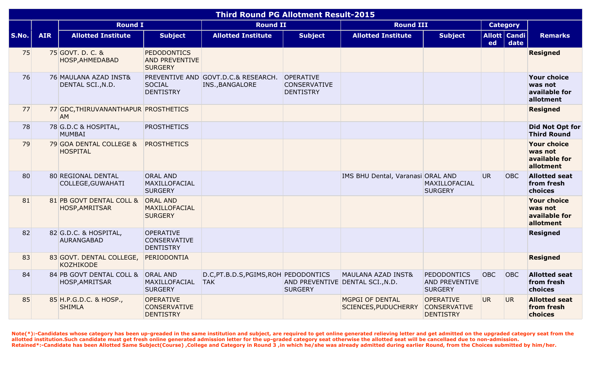|       |            |                                                     |                                                               | <b>Third Round PG Allotment Result-2015</b>            |                                                             |                                                |                                                               |            |                        |                                                             |
|-------|------------|-----------------------------------------------------|---------------------------------------------------------------|--------------------------------------------------------|-------------------------------------------------------------|------------------------------------------------|---------------------------------------------------------------|------------|------------------------|-------------------------------------------------------------|
|       |            | <b>Round I</b>                                      |                                                               | <b>Round II</b>                                        |                                                             | <b>Round III</b>                               |                                                               |            | <b>Category</b>        |                                                             |
| S.No. | <b>AIR</b> | <b>Allotted Institute</b>                           | <b>Subject</b>                                                | <b>Allotted Institute</b>                              | <b>Subject</b>                                              | <b>Allotted Institute</b>                      | <b>Subject</b>                                                | ed         | Allott   Candi<br>date | <b>Remarks</b>                                              |
| 75    |            | 75 GOVT. D. C. &<br>HOSP, AHMEDABAD                 | <b>PEDODONTICS</b><br><b>AND PREVENTIVE</b><br><b>SURGERY</b> |                                                        |                                                             |                                                |                                                               |            |                        | <b>Resigned</b>                                             |
| 76    |            | 76 MAULANA AZAD INST&<br>DENTAL SCI., N.D.          | <b>SOCIAL</b><br><b>DENTISTRY</b>                             | PREVENTIVE AND GOVT.D.C.& RESEARCH.<br>INS., BANGALORE | <b>OPERATIVE</b><br><b>CONSERVATIVE</b><br><b>DENTISTRY</b> |                                                |                                                               |            |                        | <b>Your choice</b><br>was not<br>available for<br>allotment |
| 77    |            | 77 GDC, THIRUVANANTHAPUR PROSTHETICS<br><b>AM</b>   |                                                               |                                                        |                                                             |                                                |                                                               |            |                        | <b>Resigned</b>                                             |
| 78    |            | 78 G.D.C & HOSPITAL,<br>MUMBAI                      | <b>PROSTHETICS</b>                                            |                                                        |                                                             |                                                |                                                               |            |                        | Did Not Opt for<br><b>Third Round</b>                       |
| 79    |            | 79 GOA DENTAL COLLEGE &<br><b>HOSPITAL</b>          | <b>PROSTHETICS</b>                                            |                                                        |                                                             |                                                |                                                               |            |                        | <b>Your choice</b><br>was not<br>available for<br>allotment |
| 80    |            | 80 REGIONAL DENTAL<br>COLLEGE, GUWAHATI             | <b>ORAL AND</b><br>MAXILLOFACIAL<br><b>SURGERY</b>            |                                                        |                                                             | IMS BHU Dental, Varanasi ORAL AND              | MAXILLOFACIAL<br><b>SURGERY</b>                               | UR.        | <b>OBC</b>             | <b>Allotted seat</b><br>from fresh<br>choices               |
| 81    |            | 81 PB GOVT DENTAL COLL &<br><b>HOSP, AMRITSAR</b>   | <b>ORAL AND</b><br><b>MAXILLOFACIAL</b><br><b>SURGERY</b>     |                                                        |                                                             |                                                |                                                               |            |                        | <b>Your choice</b><br>was not<br>available for<br>allotment |
| 82    |            | 82 G.D.C. & HOSPITAL,<br><b>AURANGABAD</b>          | <b>OPERATIVE</b><br><b>CONSERVATIVE</b><br><b>DENTISTRY</b>   |                                                        |                                                             |                                                |                                                               |            |                        | <b>Resigned</b>                                             |
| 83    |            | 83 GOVT. DENTAL COLLEGE,<br>KOZHIKODE               | PERIODONTIA                                                   |                                                        |                                                             |                                                |                                                               |            |                        | <b>Resigned</b>                                             |
| 84    |            | 84 PB GOVT DENTAL COLL & ORAL AND<br>HOSP, AMRITSAR | MAXILLOFACIAL<br><b>SURGERY</b>                               | D.C, PT.B.D.S, PGIMS, ROH PEDODONTICS<br><b>TAK</b>    | AND PREVENTIVE DENTAL SCI., N.D.<br><b>SURGERY</b>          | <b>MAULANA AZAD INST&amp;</b>                  | <b>PEDODONTICS</b><br><b>AND PREVENTIVE</b><br><b>SURGERY</b> | <b>OBC</b> | OBC                    | <b>Allotted seat</b><br>from fresh<br>choices               |
| 85    |            | 85 H.P.G.D.C. & HOSP.,<br><b>SHIMLA</b>             | <b>OPERATIVE</b><br><b>CONSERVATIVE</b><br><b>DENTISTRY</b>   |                                                        |                                                             | <b>MGPGI OF DENTAL</b><br>SCIENCES, PUDUCHERRY | <b>OPERATIVE</b><br><b>CONSERVATIVE</b><br><b>DENTISTRY</b>   | <b>UR</b>  | UR.                    | <b>Allotted seat</b><br>from fresh<br>choices               |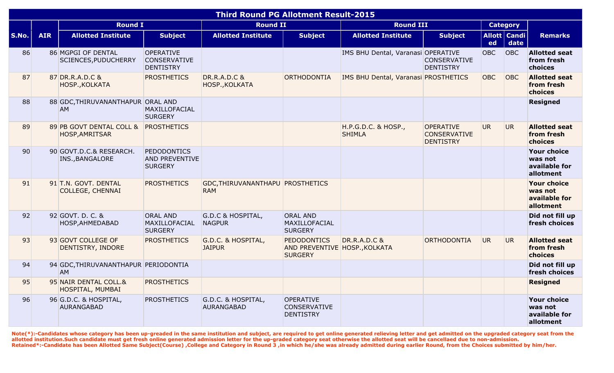|       |            |                                                   |                                                               | <b>Third Round PG Allotment Result-2015</b>    |                                                                       |                                             |                                                             |            |                        |                                                             |
|-------|------------|---------------------------------------------------|---------------------------------------------------------------|------------------------------------------------|-----------------------------------------------------------------------|---------------------------------------------|-------------------------------------------------------------|------------|------------------------|-------------------------------------------------------------|
|       |            | <b>Round I</b>                                    |                                                               | <b>Round II</b>                                |                                                                       | <b>Round III</b>                            |                                                             |            | <b>Category</b>        |                                                             |
| S.No. | <b>AIR</b> | <b>Allotted Institute</b>                         | <b>Subject</b>                                                | <b>Allotted Institute</b>                      | <b>Subject</b>                                                        | <b>Allotted Institute</b>                   | <b>Subject</b>                                              | ed         | Allott   Candi<br>date | <b>Remarks</b>                                              |
| 86    |            | 86 MGPGI OF DENTAL<br>SCIENCES, PUDUCHERRY        | <b>OPERATIVE</b><br><b>CONSERVATIVE</b><br><b>DENTISTRY</b>   |                                                |                                                                       | IMS BHU Dental, Varanasi OPERATIVE          | <b>CONSERVATIVE</b><br><b>DENTISTRY</b>                     | <b>OBC</b> | <b>OBC</b>             | <b>Allotted seat</b><br>from fresh<br>choices               |
| 87    |            | 87 DR.R.A.D.C &<br>HOSP., KOLKATA                 | <b>PROSTHETICS</b>                                            | <b>DR.R.A.D.C &amp;</b><br>HOSP., KOLKATA      | ORTHODONTIA                                                           | <b>IMS BHU Dental, Varanasi PROSTHETICS</b> |                                                             | <b>OBC</b> | <b>OBC</b>             | <b>Allotted seat</b><br>from fresh<br>choices               |
| 88    |            | 88 GDC, THIRUVANANTHAPUR ORAL AND<br><b>AM</b>    | MAXILLOFACIAL<br><b>SURGERY</b>                               |                                                |                                                                       |                                             |                                                             |            |                        | <b>Resigned</b>                                             |
| 89    |            | 89 PB GOVT DENTAL COLL &<br>HOSP, AMRITSAR        | <b>PROSTHETICS</b>                                            |                                                |                                                                       | H.P.G.D.C. & HOSP.,<br><b>SHIMLA</b>        | <b>OPERATIVE</b><br><b>CONSERVATIVE</b><br><b>DENTISTRY</b> | UR.        | <b>UR</b>              | <b>Allotted seat</b><br>from fresh<br>choices               |
| 90    |            | 90 GOVT.D.C.& RESEARCH.<br>INS., BANGALORE        | <b>PEDODONTICS</b><br><b>AND PREVENTIVE</b><br><b>SURGERY</b> |                                                |                                                                       |                                             |                                                             |            |                        | <b>Your choice</b><br>was not<br>available for<br>allotment |
| 91    |            | 91 T.N. GOVT. DENTAL<br><b>COLLEGE, CHENNAI</b>   | <b>PROSTHETICS</b>                                            | GDC, THIRUVANANTHAPU PROSTHETICS<br><b>RAM</b> |                                                                       |                                             |                                                             |            |                        | <b>Your choice</b><br>was not<br>available for<br>allotment |
| 92    |            | 92 GOVT. D. C. &<br>HOSP, AHMEDABAD               | <b>ORAL AND</b><br>MAXILLOFACIAL<br><b>SURGERY</b>            | G.D.C & HOSPITAL,<br><b>NAGPUR</b>             | <b>ORAL AND</b><br>MAXILLOFACIAL<br><b>SURGERY</b>                    |                                             |                                                             |            |                        | Did not fill up<br>fresh choices                            |
| 93    |            | 93 GOVT COLLEGE OF<br>DENTISTRY, INDORE           | <b>PROSTHETICS</b>                                            | G.D.C. & HOSPITAL,<br><b>JAIPUR</b>            | <b>PEDODONTICS</b><br>AND PREVENTIVE HOSP., KOLKATA<br><b>SURGERY</b> | <b>DR.R.A.D.C &amp;</b>                     | ORTHODONTIA                                                 | UR.        | <b>UR</b>              | <b>Allotted seat</b><br>from fresh<br>choices               |
| 94    |            | 94 GDC, THIRUVANANTHAPUR PERIODONTIA<br><b>AM</b> |                                                               |                                                |                                                                       |                                             |                                                             |            |                        | Did not fill up<br>fresh choices                            |
| 95    |            | 95 NAIR DENTAL COLL.&<br>HOSPITAL, MUMBAI         | <b>PROSTHETICS</b>                                            |                                                |                                                                       |                                             |                                                             |            |                        | <b>Resigned</b>                                             |
| 96    |            | 96 G.D.C. & HOSPITAL,<br>AURANGABAD               | <b>PROSTHETICS</b>                                            | G.D.C. & HOSPITAL,<br>AURANGABAD               | <b>OPERATIVE</b><br><b>CONSERVATIVE</b><br><b>DENTISTRY</b>           |                                             |                                                             |            |                        | <b>Your choice</b><br>was not<br>available for<br>allotment |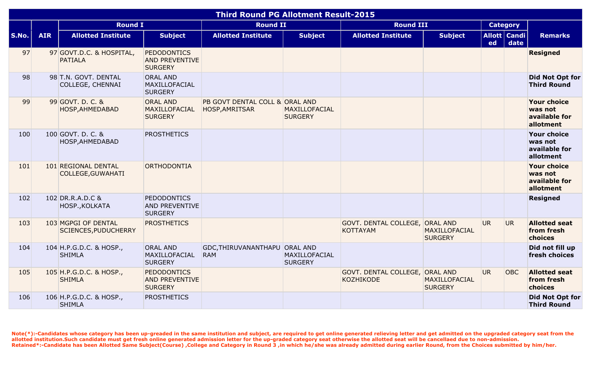|              |            |                                                    |                                                               | <b>Third Round PG Allotment Result-2015</b>      |                                 |                                                    |                                        |           |                        |                                                             |
|--------------|------------|----------------------------------------------------|---------------------------------------------------------------|--------------------------------------------------|---------------------------------|----------------------------------------------------|----------------------------------------|-----------|------------------------|-------------------------------------------------------------|
|              |            | <b>Round I</b>                                     |                                                               | <b>Round II</b>                                  |                                 | <b>Round III</b>                                   |                                        |           | <b>Category</b>        |                                                             |
| <b>S.No.</b> | <b>AIR</b> | <b>Allotted Institute</b>                          | <b>Subject</b>                                                | <b>Allotted Institute</b>                        | <b>Subject</b>                  | <b>Allotted Institute</b>                          | <b>Subject</b>                         | ed        | Allott   Candi<br>date | <b>Remarks</b>                                              |
| 97           |            | 97 GOVT.D.C. & HOSPITAL,<br><b>PATIALA</b>         | <b>PEDODONTICS</b><br><b>AND PREVENTIVE</b><br><b>SURGERY</b> |                                                  |                                 |                                                    |                                        |           |                        | <b>Resigned</b>                                             |
| 98           |            | 98 T.N. GOVT. DENTAL<br>COLLEGE, CHENNAI           | <b>ORAL AND</b><br>MAXILLOFACIAL<br><b>SURGERY</b>            |                                                  |                                 |                                                    |                                        |           |                        | Did Not Opt for<br><b>Third Round</b>                       |
| 99           |            | 99 GOVT. D. C. &<br>HOSP, AHMEDABAD                | <b>ORAL AND</b><br>MAXILLOFACIAL<br><b>SURGERY</b>            | PB GOVT DENTAL COLL & ORAL AND<br>HOSP, AMRITSAR | MAXILLOFACIAL<br><b>SURGERY</b> |                                                    |                                        |           |                        | <b>Your choice</b><br>was not<br>available for<br>allotment |
| 100          |            | 100 GOVT. D. C. &<br>HOSP, AHMEDABAD               | <b>PROSTHETICS</b>                                            |                                                  |                                 |                                                    |                                        |           |                        | <b>Your choice</b><br>was not<br>available for<br>allotment |
| 101          |            | 101 REGIONAL DENTAL<br>COLLEGE, GUWAHATI           | ORTHODONTIA                                                   |                                                  |                                 |                                                    |                                        |           |                        | <b>Your choice</b><br>was not<br>available for<br>allotment |
| 102          |            | 102 DR.R.A.D.C &<br>HOSP., KOLKATA                 | <b>PEDODONTICS</b><br><b>AND PREVENTIVE</b><br><b>SURGERY</b> |                                                  |                                 |                                                    |                                        |           |                        | <b>Resigned</b>                                             |
| 103          |            | 103 MGPGI OF DENTAL<br><b>SCIENCES, PUDUCHERRY</b> | <b>PROSTHETICS</b>                                            |                                                  |                                 | GOVT. DENTAL COLLEGE, ORAL AND<br><b>KOTTAYAM</b>  | <b>MAXILLOFACIAL</b><br><b>SURGERY</b> | UR.       | UR.                    | <b>Allotted seat</b><br>from fresh<br>choices               |
| 104          |            | 104 H.P.G.D.C. & HOSP.,<br><b>SHIMLA</b>           | <b>ORAL AND</b><br>MAXILLOFACIAL<br><b>SURGERY</b>            | GDC, THIRUVANANTHAPU ORAL AND<br><b>RAM</b>      | MAXILLOFACIAL<br><b>SURGERY</b> |                                                    |                                        |           |                        | Did not fill up<br>fresh choices                            |
| 105          |            | 105 H.P.G.D.C. & HOSP.,<br><b>SHIMLA</b>           | <b>PEDODONTICS</b><br><b>AND PREVENTIVE</b><br><b>SURGERY</b> |                                                  |                                 | GOVT. DENTAL COLLEGE, ORAL AND<br><b>KOZHIKODE</b> | MAXILLOFACIAL<br><b>SURGERY</b>        | <b>UR</b> | <b>OBC</b>             | <b>Allotted seat</b><br>from fresh<br>choices               |
| 106          |            | 106 H.P.G.D.C. & HOSP.,<br><b>SHIMLA</b>           | <b>PROSTHETICS</b>                                            |                                                  |                                 |                                                    |                                        |           |                        | Did Not Opt for<br><b>Third Round</b>                       |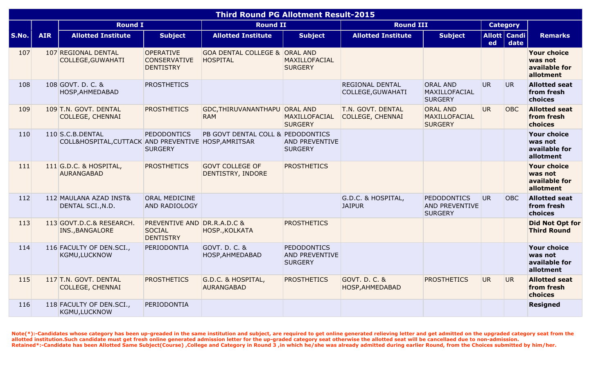|              |            |                                                                          |                                                                  | <b>Third Round PG Allotment Result-2015</b>                 |                                                               |                                              |                                                               |           |                          |                                                             |
|--------------|------------|--------------------------------------------------------------------------|------------------------------------------------------------------|-------------------------------------------------------------|---------------------------------------------------------------|----------------------------------------------|---------------------------------------------------------------|-----------|--------------------------|-------------------------------------------------------------|
|              |            | <b>Round I</b>                                                           |                                                                  | <b>Round II</b>                                             |                                                               | <b>Round III</b>                             |                                                               |           | <b>Category</b>          |                                                             |
| <b>S.No.</b> | <b>AIR</b> | <b>Allotted Institute</b>                                                | <b>Subject</b>                                                   | <b>Allotted Institute</b>                                   | <b>Subject</b>                                                | <b>Allotted Institute</b>                    | <b>Subject</b>                                                | ed        | Allott   Candi  <br>date | <b>Remarks</b>                                              |
| 107          |            | 107 REGIONAL DENTAL<br>COLLEGE, GUWAHATI                                 | <b>OPERATIVE</b><br><b>CONSERVATIVE</b><br><b>DENTISTRY</b>      | <b>GOA DENTAL COLLEGE &amp; ORAL AND</b><br><b>HOSPITAL</b> | MAXILLOFACIAL<br><b>SURGERY</b>                               |                                              |                                                               |           |                          | <b>Your choice</b><br>was not<br>available for<br>allotment |
| 108          |            | 108 GOVT. D. C. &<br>HOSP, AHMEDABAD                                     | <b>PROSTHETICS</b>                                               |                                                             |                                                               | REGIONAL DENTAL<br>COLLEGE, GUWAHATI         | <b>ORAL AND</b><br>MAXILLOFACIAL<br><b>SURGERY</b>            | <b>UR</b> | UR.                      | <b>Allotted seat</b><br>from fresh<br>choices               |
| 109          |            | 109 T.N. GOVT. DENTAL<br><b>COLLEGE, CHENNAI</b>                         | <b>PROSTHETICS</b>                                               | GDC, THIRUVANANTHAPU ORAL AND<br><b>RAM</b>                 | <b>MAXILLOFACIAL</b><br><b>SURGERY</b>                        | T.N. GOVT. DENTAL<br><b>COLLEGE, CHENNAI</b> | <b>ORAL AND</b><br>MAXILLOFACIAL<br><b>SURGERY</b>            | <b>UR</b> | <b>OBC</b>               | <b>Allotted seat</b><br>from fresh<br>choices               |
| 110          |            | 110 S.C.B.DENTAL<br>COLL&HOSPITAL, CUTTACK AND PREVENTIVE HOSP, AMRITSAR | PEDODONTICS<br><b>SURGERY</b>                                    | PB GOVT DENTAL COLL & PEDODONTICS                           | <b>AND PREVENTIVE</b><br><b>SURGERY</b>                       |                                              |                                                               |           |                          | <b>Your choice</b><br>was not<br>available for<br>allotment |
| 111          |            | 111 G.D.C. & HOSPITAL,<br><b>AURANGABAD</b>                              | <b>PROSTHETICS</b>                                               | <b>GOVT COLLEGE OF</b><br>DENTISTRY, INDORE                 | <b>PROSTHETICS</b>                                            |                                              |                                                               |           |                          | <b>Your choice</b><br>was not<br>available for<br>allotment |
| 112          |            | 112 MAULANA AZAD INST&<br>DENTAL SCI., N.D.                              | <b>ORAL MEDICINE</b><br><b>AND RADIOLOGY</b>                     |                                                             |                                                               | G.D.C. & HOSPITAL,<br><b>JAIPUR</b>          | <b>PEDODONTICS</b><br><b>AND PREVENTIVE</b><br><b>SURGERY</b> | <b>UR</b> | <b>OBC</b>               | <b>Allotted seat</b><br>from fresh<br>choices               |
| 113          |            | 113 GOVT.D.C.& RESEARCH.<br>INS., BANGALORE                              | PREVENTIVE AND DR.R.A.D.C &<br><b>SOCIAL</b><br><b>DENTISTRY</b> | HOSP., KOLKATA                                              | <b>PROSTHETICS</b>                                            |                                              |                                                               |           |                          | <b>Did Not Opt for</b><br><b>Third Round</b>                |
| 114          |            | 116 FACULTY OF DEN.SCI.,<br>KGMU, LUCKNOW                                | PERIODONTIA                                                      | GOVT. D. C. &<br>HOSP, AHMEDABAD                            | <b>PEDODONTICS</b><br><b>AND PREVENTIVE</b><br><b>SURGERY</b> |                                              |                                                               |           |                          | <b>Your choice</b><br>was not<br>available for<br>allotment |
| 115          |            | 117 T.N. GOVT. DENTAL<br><b>COLLEGE, CHENNAI</b>                         | <b>PROSTHETICS</b>                                               | G.D.C. & HOSPITAL,<br><b>AURANGABAD</b>                     | <b>PROSTHETICS</b>                                            | <b>GOVT. D. C. &amp;</b><br>HOSP, AHMEDABAD  | <b>PROSTHETICS</b>                                            | <b>UR</b> | UR.                      | <b>Allotted seat</b><br>from fresh<br>choices               |
| 116          |            | 118 FACULTY OF DEN.SCI.,<br>KGMU, LUCKNOW                                | PERIODONTIA                                                      |                                                             |                                                               |                                              |                                                               |           |                          | <b>Resigned</b>                                             |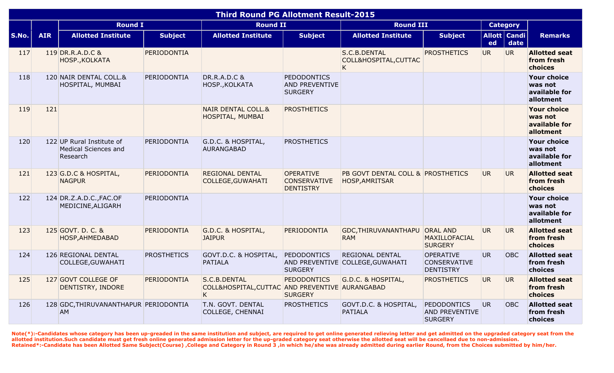|       |            |                                                                      |                    | <b>Third Round PG Allotment Result-2015</b>                          |                                                               |                                                            |                                                             |           |                        |                                                             |
|-------|------------|----------------------------------------------------------------------|--------------------|----------------------------------------------------------------------|---------------------------------------------------------------|------------------------------------------------------------|-------------------------------------------------------------|-----------|------------------------|-------------------------------------------------------------|
|       |            | <b>Round I</b>                                                       |                    | <b>Round II</b>                                                      |                                                               | <b>Round III</b>                                           |                                                             |           | <b>Category</b>        |                                                             |
| S.No. | <b>AIR</b> | <b>Allotted Institute</b>                                            | <b>Subject</b>     | <b>Allotted Institute</b>                                            | <b>Subject</b>                                                | <b>Allotted Institute</b>                                  | <b>Subject</b>                                              | ed        | Allott   Candi<br>date | <b>Remarks</b>                                              |
| 117   |            | 119 DR.R.A.D.C &<br>HOSP., KOLKATA                                   | PERIODONTIA        |                                                                      |                                                               | S.C.B.DENTAL<br>COLL&HOSPITAL, CUTTAC<br>K                 | <b>PROSTHETICS</b>                                          | <b>UR</b> | UR.                    | <b>Allotted seat</b><br>from fresh<br>choices               |
| 118   |            | 120 NAIR DENTAL COLL.&<br>HOSPITAL, MUMBAI                           | PERIODONTIA        | <b>DR.R.A.D.C &amp;</b><br>HOSP., KOLKATA                            | <b>PEDODONTICS</b><br><b>AND PREVENTIVE</b><br><b>SURGERY</b> |                                                            |                                                             |           |                        | <b>Your choice</b><br>was not<br>available for<br>allotment |
| 119   | 121        |                                                                      |                    | <b>NAIR DENTAL COLL.&amp;</b><br>HOSPITAL, MUMBAI                    | <b>PROSTHETICS</b>                                            |                                                            |                                                             |           |                        | <b>Your choice</b><br>was not<br>available for<br>allotment |
| 120   |            | 122 UP Rural Institute of<br><b>Medical Sciences and</b><br>Research | PERIODONTIA        | G.D.C. & HOSPITAL,<br><b>AURANGABAD</b>                              | <b>PROSTHETICS</b>                                            |                                                            |                                                             |           |                        | <b>Your choice</b><br>was not<br>available for<br>allotment |
| 121   |            | 123 G.D.C & HOSPITAL,<br><b>NAGPUR</b>                               | PERIODONTIA        | <b>REGIONAL DENTAL</b><br>COLLEGE, GUWAHATI                          | <b>OPERATIVE</b><br><b>CONSERVATIVE</b><br><b>DENTISTRY</b>   | PB GOVT DENTAL COLL & PROSTHETICS<br>HOSP, AMRITSAR        |                                                             | UR.       | UR.                    | <b>Allotted seat</b><br>from fresh<br>choices               |
| 122   |            | 124 DR.Z.A.D.C., FAC.OF<br>MEDICINE, ALIGARH                         | PERIODONTIA        |                                                                      |                                                               |                                                            |                                                             |           |                        | <b>Your choice</b><br>was not<br>available for<br>allotment |
| 123   |            | 125 GOVT. D. C. &<br>HOSP, AHMEDABAD                                 | PERIODONTIA        | G.D.C. & HOSPITAL,<br><b>JAIPUR</b>                                  | PERIODONTIA                                                   | GDC, THIRUVANANTHAPU<br><b>RAM</b>                         | <b>ORAL AND</b><br>MAXILLOFACIAL<br><b>SURGERY</b>          | UR.       | UR.                    | <b>Allotted seat</b><br>from fresh<br>choices               |
| 124   |            | 126 REGIONAL DENTAL<br>COLLEGE, GUWAHATI                             | <b>PROSTHETICS</b> | GOVT.D.C. & HOSPITAL,<br><b>PATIALA</b>                              | <b>PEDODONTICS</b><br><b>SURGERY</b>                          | <b>REGIONAL DENTAL</b><br>AND PREVENTIVE COLLEGE, GUWAHATI | <b>OPERATIVE</b><br><b>CONSERVATIVE</b><br><b>DENTISTRY</b> | UR.       | <b>OBC</b>             | <b>Allotted seat</b><br>from fresh<br>choices               |
| 125   |            | 127 GOVT COLLEGE OF<br>DENTISTRY, INDORE                             | PERIODONTIA        | S.C.B.DENTAL<br>COLL&HOSPITAL, CUTTAC AND PREVENTIVE AURANGABAD<br>K | <b>PEDODONTICS</b><br><b>SURGERY</b>                          | G.D.C. & HOSPITAL,                                         | <b>PROSTHETICS</b>                                          | UR.       | UR.                    | <b>Allotted seat</b><br>from fresh<br>choices               |
| 126   |            | 128 GDC, THIRUVANANTHAPUR PERIODONTIA<br><b>AM</b>                   |                    | T.N. GOVT. DENTAL<br>COLLEGE, CHENNAI                                | <b>PROSTHETICS</b>                                            | GOVT.D.C. & HOSPITAL,<br><b>PATIALA</b>                    | PEDODONTICS<br><b>AND PREVENTIVE</b><br><b>SURGERY</b>      | UR.       | OBC                    | <b>Allotted seat</b><br>from fresh<br>choices               |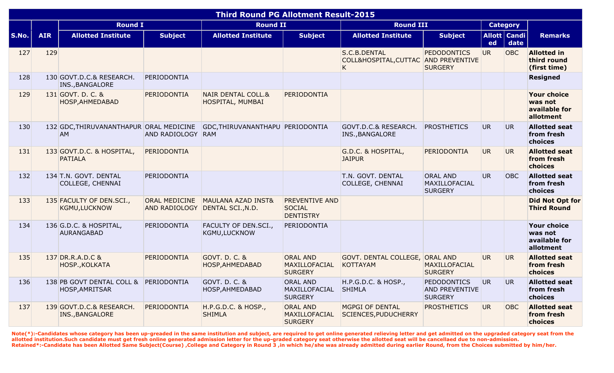| <b>Third Round PG Allotment Result-2015</b><br><b>Category</b> |            |                                               |                      |                                                                  |                                                            |                                                           |                                                               |           |                          |                                                             |
|----------------------------------------------------------------|------------|-----------------------------------------------|----------------------|------------------------------------------------------------------|------------------------------------------------------------|-----------------------------------------------------------|---------------------------------------------------------------|-----------|--------------------------|-------------------------------------------------------------|
|                                                                |            | <b>Round I</b>                                |                      | <b>Round II</b>                                                  |                                                            | <b>Round III</b>                                          |                                                               |           |                          |                                                             |
| S.No.                                                          | <b>AIR</b> | <b>Allotted Institute</b>                     | <b>Subject</b>       | <b>Allotted Institute</b>                                        | <b>Subject</b>                                             | <b>Allotted Institute</b>                                 | <b>Subject</b>                                                | ed        | Allott   Candi  <br>date | <b>Remarks</b>                                              |
| 127                                                            | 129        |                                               |                      |                                                                  |                                                            | S.C.B.DENTAL<br>COLL&HOSPITAL, CUTTAC AND PREVENTIVE<br>K | <b>PEDODONTICS</b><br><b>SURGERY</b>                          | <b>UR</b> | <b>OBC</b>               | <b>Allotted in</b><br>third round<br>(first time)           |
| 128                                                            |            | 130 GOVT.D.C.& RESEARCH.<br>INS., BANGALORE   | PERIODONTIA          |                                                                  |                                                            |                                                           |                                                               |           |                          | <b>Resigned</b>                                             |
| 129                                                            |            | 131 GOVT. D. C. &<br>HOSP, AHMEDABAD          | PERIODONTIA          | <b>NAIR DENTAL COLL.&amp;</b><br>HOSPITAL, MUMBAI                | PERIODONTIA                                                |                                                           |                                                               |           |                          | <b>Your choice</b><br>was not<br>available for<br>allotment |
| 130                                                            |            | 132 GDC, THIRUVANANTHAPUR ORAL MEDICINE<br>AM | <b>AND RADIOLOGY</b> | GDC, THIRUVANANTHAPU PERIODONTIA<br>RAM                          |                                                            | GOVT.D.C.& RESEARCH.<br>INS., BANGALORE                   | <b>PROSTHETICS</b>                                            | <b>UR</b> | UR <sub></sub>           | <b>Allotted seat</b><br>from fresh<br>choices               |
| 131                                                            |            | 133 GOVT.D.C. & HOSPITAL,<br><b>PATIALA</b>   | PERIODONTIA          |                                                                  |                                                            | G.D.C. & HOSPITAL,<br><b>JAIPUR</b>                       | PERIODONTIA                                                   | <b>UR</b> | UR.                      | <b>Allotted seat</b><br>from fresh<br>choices               |
| 132                                                            |            | 134 T.N. GOVT. DENTAL<br>COLLEGE, CHENNAI     | PERIODONTIA          |                                                                  |                                                            | T.N. GOVT. DENTAL<br><b>COLLEGE, CHENNAI</b>              | <b>ORAL AND</b><br><b>MAXILLOFACIAL</b><br><b>SURGERY</b>     | <b>UR</b> | OBC                      | <b>Allotted seat</b><br>from fresh<br>choices               |
| 133                                                            |            | 135 FACULTY OF DEN.SCI.,<br>KGMU, LUCKNOW     | <b>ORAL MEDICINE</b> | <b>MAULANA AZAD INST&amp;</b><br>AND RADIOLOGY DENTAL SCI., N.D. | <b>PREVENTIVE AND</b><br><b>SOCIAL</b><br><b>DENTISTRY</b> |                                                           |                                                               |           |                          | <b>Did Not Opt for</b><br><b>Third Round</b>                |
| 134                                                            |            | 136 G.D.C. & HOSPITAL,<br><b>AURANGABAD</b>   | PERIODONTIA          | FACULTY OF DEN.SCI.,<br>KGMU, LUCKNOW                            | PERIODONTIA                                                |                                                           |                                                               |           |                          | <b>Your choice</b><br>was not<br>available for<br>allotment |
| 135                                                            |            | 137 DR.R.A.D.C &<br>HOSP., KOLKATA            | PERIODONTIA          | GOVT. D. C. &<br>HOSP, AHMEDABAD                                 | <b>ORAL AND</b><br>MAXILLOFACIAL<br><b>SURGERY</b>         | GOVT. DENTAL COLLEGE, ORAL AND<br><b>KOTTAYAM</b>         | MAXILLOFACIAL<br><b>SURGERY</b>                               | <b>UR</b> | UR.                      | <b>Allotted seat</b><br>from fresh<br>choices               |
| 136                                                            |            | 138 PB GOVT DENTAL COLL &<br>HOSP, AMRITSAR   | PERIODONTIA          | GOVT. D. C. &<br>HOSP, AHMEDABAD                                 | <b>ORAL AND</b><br>MAXILLOFACIAL<br><b>SURGERY</b>         | H.P.G.D.C. & HOSP.,<br><b>SHIMLA</b>                      | <b>PEDODONTICS</b><br><b>AND PREVENTIVE</b><br><b>SURGERY</b> | <b>UR</b> | <b>UR</b>                | <b>Allotted seat</b><br>from fresh<br>choices               |
| 137                                                            |            | 139 GOVT.D.C.& RESEARCH.<br>INS., BANGALORE   | PERIODONTIA          | H.P.G.D.C. & HOSP.,<br><b>SHIMLA</b>                             | <b>ORAL AND</b><br>MAXILLOFACIAL<br><b>SURGERY</b>         | MGPGI OF DENTAL<br>SCIENCES, PUDUCHERRY                   | <b>PROSTHETICS</b>                                            | <b>UR</b> | OBC                      | <b>Allotted seat</b><br>from fresh<br>choices               |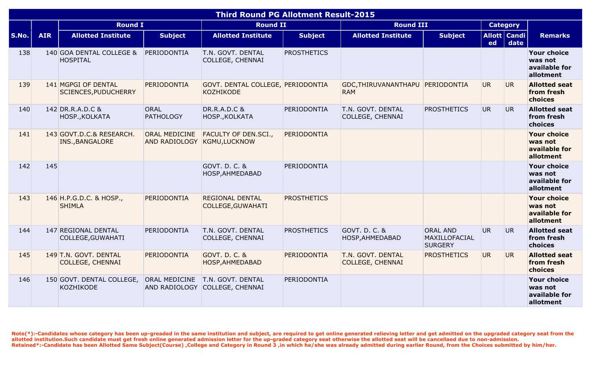|       |            |                                                    |                                                     | <b>Third Round PG Allotment Result-2015</b>                       |                    |                                                |                                                    |           |                        |                                                             |
|-------|------------|----------------------------------------------------|-----------------------------------------------------|-------------------------------------------------------------------|--------------------|------------------------------------------------|----------------------------------------------------|-----------|------------------------|-------------------------------------------------------------|
|       |            | <b>Round I</b>                                     |                                                     | <b>Round II</b>                                                   |                    | <b>Round III</b>                               |                                                    |           | <b>Category</b>        |                                                             |
| S.No. | <b>AIR</b> | <b>Allotted Institute</b>                          | <b>Subject</b>                                      | <b>Allotted Institute</b>                                         | <b>Subject</b>     | <b>Allotted Institute</b>                      | <b>Subject</b>                                     | ed        | Allott   Candi<br>date | <b>Remarks</b>                                              |
| 138   |            | 140 GOA DENTAL COLLEGE &<br><b>HOSPITAL</b>        | PERIODONTIA                                         | T.N. GOVT. DENTAL<br>COLLEGE, CHENNAI                             | <b>PROSTHETICS</b> |                                                |                                                    |           |                        | <b>Your choice</b><br>was not<br>available for<br>allotment |
| 139   |            | 141 MGPGI OF DENTAL<br><b>SCIENCES, PUDUCHERRY</b> | PERIODONTIA                                         | GOVT. DENTAL COLLEGE, PERIODONTIA<br><b>KOZHIKODE</b>             |                    | GDC, THIRUVANANTHAPU PERIODONTIA<br><b>RAM</b> |                                                    | UR.       | UR.                    | <b>Allotted seat</b><br>from fresh<br>choices               |
| 140   |            | 142 DR.R.A.D.C &<br>HOSP., KOLKATA                 | ORAL<br><b>PATHOLOGY</b>                            | <b>DR.R.A.D.C &amp;</b><br>HOSP., KOLKATA                         | PERIODONTIA        | T.N. GOVT. DENTAL<br>COLLEGE, CHENNAI          | <b>PROSTHETICS</b>                                 | <b>UR</b> | <b>UR</b>              | <b>Allotted seat</b><br>from fresh<br>choices               |
| 141   |            | 143 GOVT.D.C.& RESEARCH.<br>INS., BANGALORE        | <b>ORAL MEDICINE</b><br>AND RADIOLOGY KGMU, LUCKNOW | <b>FACULTY OF DEN.SCI.,</b>                                       | PERIODONTIA        |                                                |                                                    |           |                        | <b>Your choice</b><br>was not<br>available for<br>allotment |
| 142   | 145        |                                                    |                                                     | GOVT. D. C. &<br>HOSP, AHMEDABAD                                  | PERIODONTIA        |                                                |                                                    |           |                        | <b>Your choice</b><br>was not<br>available for<br>allotment |
| 143   |            | 146 H.P.G.D.C. & HOSP.,<br><b>SHIMLA</b>           | PERIODONTIA                                         | <b>REGIONAL DENTAL</b><br>COLLEGE, GUWAHATI                       | <b>PROSTHETICS</b> |                                                |                                                    |           |                        | <b>Your choice</b><br>was not<br>available for<br>allotment |
| 144   |            | 147 REGIONAL DENTAL<br>COLLEGE, GUWAHATI           | PERIODONTIA                                         | T.N. GOVT. DENTAL<br>COLLEGE, CHENNAI                             | <b>PROSTHETICS</b> | GOVT. D. C. &<br>HOSP, AHMEDABAD               | <b>ORAL AND</b><br>MAXILLOFACIAL<br><b>SURGERY</b> | UR.       | <b>UR</b>              | <b>Allotted seat</b><br>from fresh<br>choices               |
| 145   |            | 149 T.N. GOVT. DENTAL<br><b>COLLEGE, CHENNAI</b>   | PERIODONTIA                                         | <b>GOVT. D. C. &amp;</b><br>HOSP, AHMEDABAD                       | PERIODONTIA        | T.N. GOVT. DENTAL<br><b>COLLEGE, CHENNAI</b>   | <b>PROSTHETICS</b>                                 | <b>UR</b> | UR.                    | <b>Allotted seat</b><br>from fresh<br>choices               |
| 146   |            | 150 GOVT. DENTAL COLLEGE,<br><b>KOZHIKODE</b>      |                                                     | ORAL MEDICINE T.N. GOVT. DENTAL<br>AND RADIOLOGY COLLEGE, CHENNAI | PERIODONTIA        |                                                |                                                    |           |                        | <b>Your choice</b><br>was not<br>available for<br>allotment |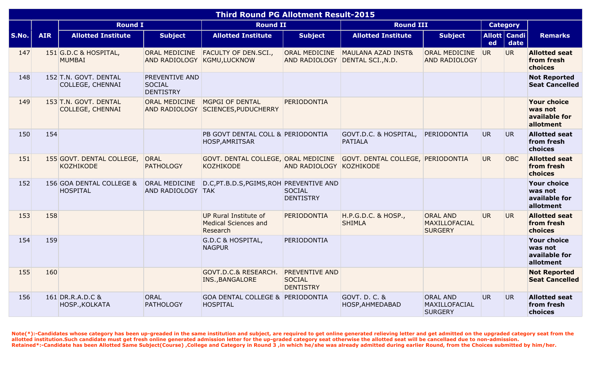|       |            |                                               |                                                            | <b>Third Round PG Allotment Result-2015</b>                      |                                                            |                                                       |                                                    |                |                          |                                                             |
|-------|------------|-----------------------------------------------|------------------------------------------------------------|------------------------------------------------------------------|------------------------------------------------------------|-------------------------------------------------------|----------------------------------------------------|----------------|--------------------------|-------------------------------------------------------------|
|       |            | <b>Round I</b>                                |                                                            | <b>Round II</b>                                                  |                                                            | <b>Round III</b>                                      |                                                    |                | <b>Category</b>          |                                                             |
| S.No. | <b>AIR</b> | <b>Allotted Institute</b>                     | <b>Subject</b>                                             | <b>Allotted Institute</b>                                        | <b>Subject</b>                                             | <b>Allotted Institute</b>                             | <b>Subject</b>                                     | ed             | Allott   Candi  <br>date | <b>Remarks</b>                                              |
| 147   |            | 151 G.D.C & HOSPITAL,<br><b>MUMBAI</b>        | <b>ORAL MEDICINE</b><br>AND RADIOLOGY KGMU, LUCKNOW        | <b>FACULTY OF DEN.SCI.,</b>                                      | ORAL MEDICINE                                              | MAULANA AZAD INST&<br>AND RADIOLOGY DENTAL SCI., N.D. | <b>ORAL MEDICINE</b><br><b>AND RADIOLOGY</b>       | UR <sub></sub> | <b>UR</b>                | <b>Allotted seat</b><br>from fresh<br>choices               |
| 148   |            | 152 T.N. GOVT. DENTAL<br>COLLEGE, CHENNAI     | <b>PREVENTIVE AND</b><br><b>SOCIAL</b><br><b>DENTISTRY</b> |                                                                  |                                                            |                                                       |                                                    |                |                          | <b>Not Reported</b><br><b>Seat Cancelled</b>                |
| 149   |            | 153 T.N. GOVT. DENTAL<br>COLLEGE, CHENNAI     | <b>ORAL MEDICINE</b>                                       | MGPGI OF DENTAL<br>AND RADIOLOGY SCIENCES, PUDUCHERRY            | PERIODONTIA                                                |                                                       |                                                    |                |                          | <b>Your choice</b><br>was not<br>available for<br>allotment |
| 150   | 154        |                                               |                                                            | PB GOVT DENTAL COLL & PERIODONTIA<br>HOSP, AMRITSAR              |                                                            | GOVT.D.C. & HOSPITAL,<br><b>PATIALA</b>               | PERIODONTIA                                        | UR.            | UR.                      | <b>Allotted seat</b><br>from fresh<br>choices               |
| 151   |            | 155 GOVT. DENTAL COLLEGE,<br><b>KOZHIKODE</b> | ORAL<br><b>PATHOLOGY</b>                                   | GOVT. DENTAL COLLEGE, ORAL MEDICINE<br>KOZHIKODE                 | AND RADIOLOGY KOZHIKODE                                    | GOVT. DENTAL COLLEGE, PERIODONTIA                     |                                                    | UR.            | <b>OBC</b>               | <b>Allotted seat</b><br>from fresh<br>choices               |
| 152   |            | 156 GOA DENTAL COLLEGE &<br><b>HOSPITAL</b>   | <b>ORAL MEDICINE</b><br>AND RADIOLOGY TAK                  | D.C, PT.B.D.S, PGIMS, ROH PREVENTIVE AND                         | <b>SOCIAL</b><br><b>DENTISTRY</b>                          |                                                       |                                                    |                |                          | <b>Your choice</b><br>was not<br>available for<br>allotment |
| 153   | 158        |                                               |                                                            | UP Rural Institute of<br><b>Medical Sciences and</b><br>Research | PERIODONTIA                                                | H.P.G.D.C. & HOSP.,<br><b>SHIMLA</b>                  | <b>ORAL AND</b><br>MAXILLOFACIAL<br><b>SURGERY</b> | UR.            | <b>UR</b>                | <b>Allotted seat</b><br>from fresh<br>choices               |
| 154   | 159        |                                               |                                                            | G.D.C & HOSPITAL,<br><b>NAGPUR</b>                               | PERIODONTIA                                                |                                                       |                                                    |                |                          | <b>Your choice</b><br>was not<br>available for<br>allotment |
| 155   | 160        |                                               |                                                            | <b>GOVT.D.C.&amp; RESEARCH.</b><br><b>INS., BANGALORE</b>        | <b>PREVENTIVE AND</b><br><b>SOCIAL</b><br><b>DENTISTRY</b> |                                                       |                                                    |                |                          | <b>Not Reported</b><br><b>Seat Cancelled</b>                |
| 156   |            | 161 DR.R.A.D.C &<br>HOSP., KOLKATA            | ORAL<br><b>PATHOLOGY</b>                                   | <b>GOA DENTAL COLLEGE &amp; PERIODONTIA</b><br><b>HOSPITAL</b>   |                                                            | GOVT. D. C. &<br>HOSP, AHMEDABAD                      | <b>ORAL AND</b><br>MAXILLOFACIAL<br><b>SURGERY</b> | UR.            | UR                       | <b>Allotted seat</b><br>from fresh<br>choices               |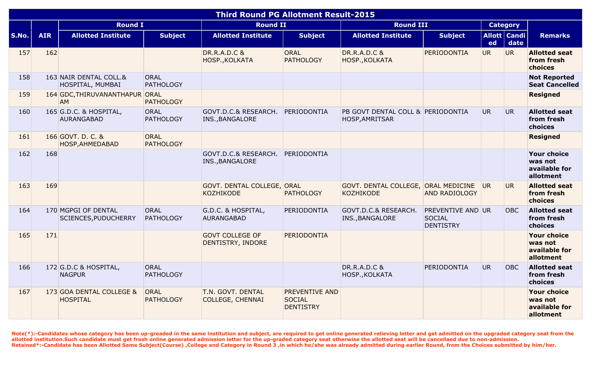| <b>Third Round PG Allotment Result-2015</b> |            |                                                    |                                 |                                                |                                                            |                                                            |                                                               |           |                        |                                                             |
|---------------------------------------------|------------|----------------------------------------------------|---------------------------------|------------------------------------------------|------------------------------------------------------------|------------------------------------------------------------|---------------------------------------------------------------|-----------|------------------------|-------------------------------------------------------------|
|                                             |            | <b>Round I</b>                                     |                                 | <b>Round II</b>                                |                                                            | <b>Round III</b>                                           |                                                               |           | <b>Category</b>        |                                                             |
| S.No.                                       | <b>AIR</b> | <b>Allotted Institute</b>                          | <b>Subject</b>                  | <b>Allotted Institute</b>                      | <b>Subject</b>                                             | <b>Allotted Institute</b>                                  | <b>Subject</b>                                                | ed        | Allott   Candi<br>date | <b>Remarks</b>                                              |
| 157                                         | 162        |                                                    |                                 | <b>DR.R.A.D.C &amp;</b><br>HOSP., KOLKATA      | ORAL<br><b>PATHOLOGY</b>                                   | <b>DR.R.A.D.C &amp;</b><br>HOSP., KOLKATA                  | PERIODONTIA                                                   | <b>UR</b> | <b>UR</b>              | <b>Allotted seat</b><br>from fresh<br>choices               |
| 158                                         |            | 163 NAIR DENTAL COLL.&<br>HOSPITAL, MUMBAI         | ORAL<br><b>PATHOLOGY</b>        |                                                |                                                            |                                                            |                                                               |           |                        | <b>Not Reported</b><br><b>Seat Cancelled</b>                |
| 159                                         |            | 164 GDC, THIRUVANANTHAPUR ORAL<br><b>AM</b>        | <b>PATHOLOGY</b>                |                                                |                                                            |                                                            |                                                               |           |                        | <b>Resigned</b>                                             |
| 160                                         |            | 165 G.D.C. & HOSPITAL,<br><b>AURANGABAD</b>        | ORAL<br><b>PATHOLOGY</b>        | GOVT.D.C.& RESEARCH.<br>INS., BANGALORE        | PERIODONTIA                                                | PB GOVT DENTAL COLL & PERIODONTIA<br><b>HOSP, AMRITSAR</b> |                                                               | <b>UR</b> | UR.                    | <b>Allotted seat</b><br>from fresh<br>choices               |
| 161                                         |            | 166 GOVT. D. C. &<br>HOSP, AHMEDABAD               | <b>ORAL</b><br><b>PATHOLOGY</b> |                                                |                                                            |                                                            |                                                               |           |                        | <b>Resigned</b>                                             |
| 162                                         | 168        |                                                    |                                 | GOVT.D.C.& RESEARCH.<br>INS., BANGALORE        | PERIODONTIA                                                |                                                            |                                                               |           |                        | <b>Your choice</b><br>was not<br>available for<br>allotment |
| 163                                         | 169        |                                                    |                                 | GOVT. DENTAL COLLEGE, ORAL<br><b>KOZHIKODE</b> | <b>PATHOLOGY</b>                                           | GOVT. DENTAL COLLEGE, ORAL MEDICINE<br><b>KOZHIKODE</b>    | <b>AND RADIOLOGY</b>                                          | <b>UR</b> | <b>UR</b>              | <b>Allotted seat</b><br>from fresh<br>choices               |
| 164                                         |            | 170 MGPGI OF DENTAL<br><b>SCIENCES, PUDUCHERRY</b> | ORAL<br><b>PATHOLOGY</b>        | G.D.C. & HOSPITAL,<br><b>AURANGABAD</b>        | PERIODONTIA                                                | GOVT.D.C.& RESEARCH.<br>INS., BANGALORE                    | <b>PREVENTIVE AND UR</b><br><b>SOCIAL</b><br><b>DENTISTRY</b> |           | OBC                    | <b>Allotted seat</b><br>from fresh<br>choices               |
| 165                                         | 171        |                                                    |                                 | <b>GOVT COLLEGE OF</b><br>DENTISTRY, INDORE    | <b>PERIODONTIA</b>                                         |                                                            |                                                               |           |                        | <b>Your choice</b><br>was not<br>available for<br>allotment |
| 166                                         |            | 172 G.D.C & HOSPITAL,<br><b>NAGPUR</b>             | ORAL<br><b>PATHOLOGY</b>        |                                                |                                                            | <b>DR.R.A.D.C &amp;</b><br>HOSP., KOLKATA                  | PERIODONTIA                                                   | <b>UR</b> | <b>OBC</b>             | <b>Allotted seat</b><br>from fresh<br>choices               |
| 167                                         |            | 173 GOA DENTAL COLLEGE &<br><b>HOSPITAL</b>        | <b>ORAL</b><br><b>PATHOLOGY</b> | T.N. GOVT. DENTAL<br><b>COLLEGE, CHENNAI</b>   | <b>PREVENTIVE AND</b><br><b>SOCIAL</b><br><b>DENTISTRY</b> |                                                            |                                                               |           |                        | <b>Your choice</b><br>was not<br>available for<br>allotment |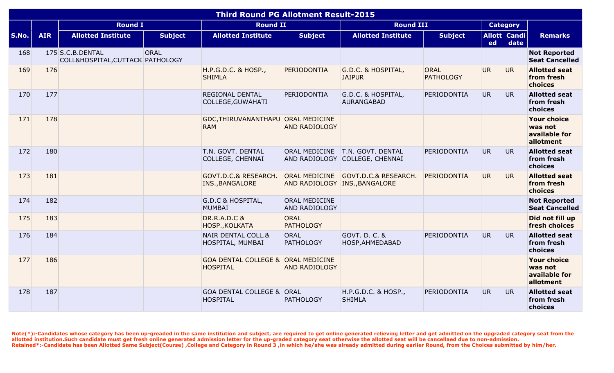|       |            |                                                      |                | <b>Third Round PG Allotment Result-2015</b>             |                                |                                                                     |                                 |           |                          |                                                             |
|-------|------------|------------------------------------------------------|----------------|---------------------------------------------------------|--------------------------------|---------------------------------------------------------------------|---------------------------------|-----------|--------------------------|-------------------------------------------------------------|
|       |            | <b>Round I</b>                                       |                | <b>Round II</b>                                         |                                | <b>Round III</b>                                                    |                                 |           | <b>Category</b>          |                                                             |
| S.No. | <b>AIR</b> | <b>Allotted Institute</b>                            | <b>Subject</b> | <b>Allotted Institute</b>                               | <b>Subject</b>                 | <b>Allotted Institute</b>                                           | <b>Subject</b>                  | ed        | Allott   Candi  <br>date | <b>Remarks</b>                                              |
| 168   |            | 175 S.C.B.DENTAL<br>COLL&HOSPITAL, CUTTACK PATHOLOGY | ORAL           |                                                         |                                |                                                                     |                                 |           |                          | <b>Not Reported</b><br><b>Seat Cancelled</b>                |
| 169   | 176        |                                                      |                | H.P.G.D.C. & HOSP.,<br><b>SHIMLA</b>                    | PERIODONTIA                    | G.D.C. & HOSPITAL,<br><b>JAIPUR</b>                                 | <b>ORAL</b><br><b>PATHOLOGY</b> | UR.       | UR.                      | <b>Allotted seat</b><br>from fresh<br>choices               |
| 170   | 177        |                                                      |                | <b>REGIONAL DENTAL</b><br>COLLEGE, GUWAHATI             | PERIODONTIA                    | G.D.C. & HOSPITAL,<br><b>AURANGABAD</b>                             | PERIODONTIA                     | UR.       | UR.                      | <b>Allotted seat</b><br>from fresh<br>choices               |
| 171   | 178        |                                                      |                | GDC, THIRUVANANTHAPU ORAL MEDICINE<br><b>RAM</b>        | <b>AND RADIOLOGY</b>           |                                                                     |                                 |           |                          | <b>Your choice</b><br>was not<br>available for<br>allotment |
| 172   | 180        |                                                      |                | T.N. GOVT. DENTAL<br>COLLEGE, CHENNAI                   |                                | ORAL MEDICINE   T.N. GOVT. DENTAL<br>AND RADIOLOGY COLLEGE, CHENNAI | PERIODONTIA                     | UR.       | UR.                      | <b>Allotted seat</b><br>from fresh<br>choices               |
| 173   | 181        |                                                      |                | GOVT.D.C.& RESEARCH.<br>INS., BANGALORE                 |                                | ORAL MEDICINE GOVT.D.C.& RESEARCH.<br>AND RADIOLOGY INS., BANGALORE | PERIODONTIA                     | UR.       | UR.                      | <b>Allotted seat</b><br>from fresh<br>choices               |
| 174   | 182        |                                                      |                | G.D.C & HOSPITAL,<br><b>MUMBAI</b>                      | ORAL MEDICINE<br>AND RADIOLOGY |                                                                     |                                 |           |                          | <b>Not Reported</b><br><b>Seat Cancelled</b>                |
| 175   | 183        |                                                      |                | <b>DR.R.A.D.C &amp;</b><br>HOSP., KOLKATA               | ORAL<br><b>PATHOLOGY</b>       |                                                                     |                                 |           |                          | Did not fill up<br>fresh choices                            |
| 176   | 184        |                                                      |                | NAIR DENTAL COLL.&<br>HOSPITAL, MUMBAI                  | ORAL<br><b>PATHOLOGY</b>       | GOVT. D. C. &<br>HOSP, AHMEDABAD                                    | PERIODONTIA                     | <b>UR</b> | UR.                      | <b>Allotted seat</b><br>from fresh<br>choices               |
| 177   | 186        |                                                      |                | GOA DENTAL COLLEGE & ORAL MEDICINE<br><b>HOSPITAL</b>   | <b>AND RADIOLOGY</b>           |                                                                     |                                 |           |                          | <b>Your choice</b><br>was not<br>available for<br>allotment |
| 178   | 187        |                                                      |                | <b>GOA DENTAL COLLEGE &amp; ORAL</b><br><b>HOSPITAL</b> | <b>PATHOLOGY</b>               | H.P.G.D.C. & HOSP.,<br><b>SHIMLA</b>                                | PERIODONTIA                     | <b>UR</b> | UR.                      | <b>Allotted seat</b><br>from fresh<br>choices               |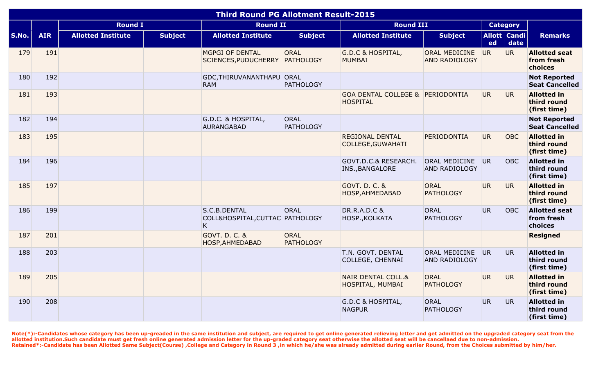|              |            |                           |                | <b>Third Round PG Allotment Result-2015</b>          |                                 |                                                                |                                              |           |                        |                                                   |
|--------------|------------|---------------------------|----------------|------------------------------------------------------|---------------------------------|----------------------------------------------------------------|----------------------------------------------|-----------|------------------------|---------------------------------------------------|
|              |            | <b>Round I</b>            |                | <b>Round II</b>                                      |                                 | <b>Round III</b>                                               |                                              |           | <b>Category</b>        |                                                   |
| <b>S.No.</b> | <b>AIR</b> | <b>Allotted Institute</b> | <b>Subject</b> | <b>Allotted Institute</b>                            | <b>Subject</b>                  | <b>Allotted Institute</b>                                      | <b>Subject</b>                               | ed        | Allott   Candi<br>date | <b>Remarks</b>                                    |
| 179          | 191        |                           |                | MGPGI OF DENTAL<br>SCIENCES, PUDUCHERRY              | <b>ORAL</b><br>PATHOLOGY        | <b>G.D.C &amp; HOSPITAL,</b><br><b>MUMBAI</b>                  | <b>ORAL MEDICINE</b><br><b>AND RADIOLOGY</b> | <b>UR</b> | <b>UR</b>              | <b>Allotted seat</b><br>from fresh<br>choices     |
| 180          | 192        |                           |                | GDC, THIRUVANANTHAPU ORAL<br><b>RAM</b>              | <b>PATHOLOGY</b>                |                                                                |                                              |           |                        | <b>Not Reported</b><br><b>Seat Cancelled</b>      |
| 181          | 193        |                           |                |                                                      |                                 | <b>GOA DENTAL COLLEGE &amp; PERIODONTIA</b><br><b>HOSPITAL</b> |                                              | <b>UR</b> | UR.                    | <b>Allotted in</b><br>third round<br>(first time) |
| 182          | 194        |                           |                | G.D.C. & HOSPITAL,<br>AURANGABAD                     | <b>ORAL</b><br><b>PATHOLOGY</b> |                                                                |                                              |           |                        | <b>Not Reported</b><br><b>Seat Cancelled</b>      |
| 183          | 195        |                           |                |                                                      |                                 | <b>REGIONAL DENTAL</b><br><b>COLLEGE, GUWAHATI</b>             | PERIODONTIA                                  | <b>UR</b> | <b>OBC</b>             | <b>Allotted in</b><br>third round<br>(first time) |
| 184          | 196        |                           |                |                                                      |                                 | GOVT.D.C.& RESEARCH.<br>INS., BANGALORE                        | ORAL MEDICINE<br>AND RADIOLOGY               | <b>UR</b> | OBC                    | <b>Allotted in</b><br>third round<br>(first time) |
| 185          | 197        |                           |                |                                                      |                                 | <b>GOVT. D. C. &amp;</b><br>HOSP, AHMEDABAD                    | <b>ORAL</b><br><b>PATHOLOGY</b>              | <b>UR</b> | UR.                    | <b>Allotted in</b><br>third round<br>(first time) |
| 186          | 199        |                           |                | S.C.B.DENTAL<br>COLL&HOSPITAL, CUTTAC PATHOLOGY<br>K | ORAL                            | <b>DR.R.A.D.C &amp;</b><br>HOSP., KOLKATA                      | <b>ORAL</b><br><b>PATHOLOGY</b>              | <b>UR</b> | <b>OBC</b>             | <b>Allotted seat</b><br>from fresh<br>choices     |
| 187          | 201        |                           |                | GOVT. D. C. &<br>HOSP, AHMEDABAD                     | <b>ORAL</b><br><b>PATHOLOGY</b> |                                                                |                                              |           |                        | <b>Resigned</b>                                   |
| 188          | 203        |                           |                |                                                      |                                 | T.N. GOVT. DENTAL<br><b>COLLEGE, CHENNAI</b>                   | ORAL MEDICINE<br><b>AND RADIOLOGY</b>        | <b>UR</b> | UR.                    | <b>Allotted in</b><br>third round<br>(first time) |
| 189          | 205        |                           |                |                                                      |                                 | <b>NAIR DENTAL COLL.&amp;</b><br>HOSPITAL, MUMBAI              | <b>ORAL</b><br><b>PATHOLOGY</b>              | <b>UR</b> | UR.                    | <b>Allotted in</b><br>third round<br>(first time) |
| 190          | 208        |                           |                |                                                      |                                 | <b>G.D.C &amp; HOSPITAL,</b><br><b>NAGPUR</b>                  | ORAL<br><b>PATHOLOGY</b>                     | <b>UR</b> | UR.                    | <b>Allotted in</b><br>third round<br>(first time) |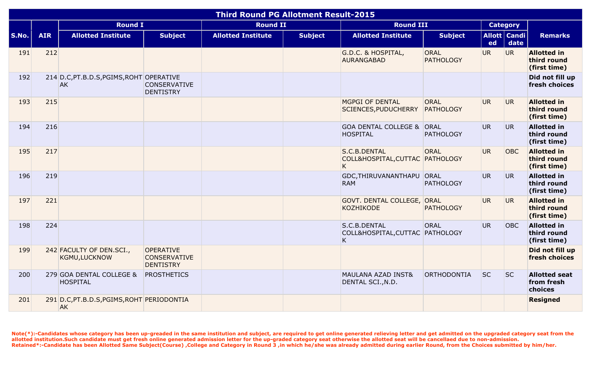|       |            |                                                         |                                                             | <b>Third Round PG Allotment Result-2015</b> |                |                                                      |                                 |                 |                        |                                                   |
|-------|------------|---------------------------------------------------------|-------------------------------------------------------------|---------------------------------------------|----------------|------------------------------------------------------|---------------------------------|-----------------|------------------------|---------------------------------------------------|
|       |            | <b>Round I</b>                                          |                                                             | <b>Round II</b>                             |                | <b>Round III</b>                                     |                                 |                 | <b>Category</b>        |                                                   |
| S.No. | <b>AIR</b> | <b>Allotted Institute</b>                               | <b>Subject</b>                                              | <b>Allotted Institute</b>                   | <b>Subject</b> | <b>Allotted Institute</b>                            | <b>Subject</b>                  | ed              | Allott   Candi<br>date | <b>Remarks</b>                                    |
| 191   | 212        |                                                         |                                                             |                                             |                | G.D.C. & HOSPITAL,<br><b>AURANGABAD</b>              | ORAL<br><b>PATHOLOGY</b>        | UR.             | UR                     | <b>Allotted in</b><br>third round<br>(first time) |
| 192   |            | 214 D.C, PT.B.D.S, PGIMS, ROHT OPERATIVE<br><b>AK</b>   | <b>CONSERVATIVE</b><br><b>DENTISTRY</b>                     |                                             |                |                                                      |                                 |                 |                        | Did not fill up<br>fresh choices                  |
| 193   | 215        |                                                         |                                                             |                                             |                | <b>MGPGI OF DENTAL</b><br>SCIENCES, PUDUCHERRY       | <b>ORAL</b><br><b>PATHOLOGY</b> | UR <sub>1</sub> | UR <sub>1</sub>        | <b>Allotted in</b><br>third round<br>(first time) |
| 194   | 216        |                                                         |                                                             |                                             |                | GOA DENTAL COLLEGE & ORAL<br><b>HOSPITAL</b>         | <b>PATHOLOGY</b>                | <b>UR</b>       | <b>UR</b>              | <b>Allotted in</b><br>third round<br>(first time) |
| 195   | 217        |                                                         |                                                             |                                             |                | S.C.B.DENTAL<br>COLL&HOSPITAL, CUTTAC PATHOLOGY<br>K | ORAL                            | UR.             | <b>OBC</b>             | <b>Allotted in</b><br>third round<br>(first time) |
| 196   | 219        |                                                         |                                                             |                                             |                | GDC, THIRUVANANTHAPU ORAL<br><b>RAM</b>              | <b>PATHOLOGY</b>                | UR <sub>1</sub> | UR.                    | <b>Allotted in</b><br>third round<br>(first time) |
| 197   | 221        |                                                         |                                                             |                                             |                | GOVT. DENTAL COLLEGE, ORAL<br><b>KOZHIKODE</b>       | <b>PATHOLOGY</b>                | UR.             | UR.                    | <b>Allotted in</b><br>third round<br>(first time) |
| 198   | 224        |                                                         |                                                             |                                             |                | S.C.B.DENTAL<br>COLL&HOSPITAL, CUTTAC PATHOLOGY<br>K | ORAL                            | UR.             | OBC                    | <b>Allotted in</b><br>third round<br>(first time) |
| 199   |            | 242 FACULTY OF DEN.SCI.,<br><b>KGMU,LUCKNOW</b>         | <b>OPERATIVE</b><br><b>CONSERVATIVE</b><br><b>DENTISTRY</b> |                                             |                |                                                      |                                 |                 |                        | Did not fill up<br>fresh choices                  |
| 200   |            | 279 GOA DENTAL COLLEGE &<br><b>HOSPITAL</b>             | <b>PROSTHETICS</b>                                          |                                             |                | <b>MAULANA AZAD INST&amp;</b><br>DENTAL SCI., N.D.   | <b>ORTHODONTIA</b>              | <b>SC</b>       | <b>SC</b>              | <b>Allotted seat</b><br>from fresh<br>choices     |
| 201   |            | 291 D.C, PT.B.D.S, PGIMS, ROHT PERIODONTIA<br><b>AK</b> |                                                             |                                             |                |                                                      |                                 |                 |                        | <b>Resigned</b>                                   |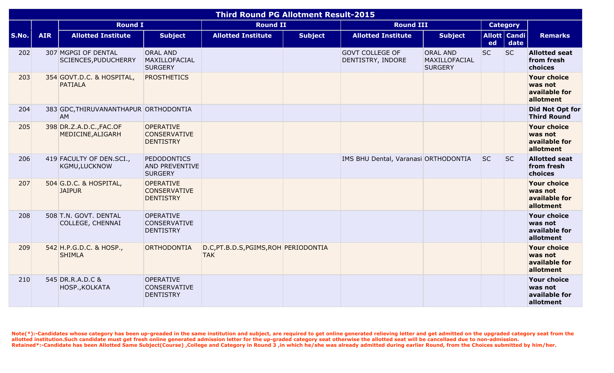|              |            |                                              |                                                               | <b>Third Round PG Allotment Result-2015</b>         |                |                                             |                                                    |           |                        |                                                             |
|--------------|------------|----------------------------------------------|---------------------------------------------------------------|-----------------------------------------------------|----------------|---------------------------------------------|----------------------------------------------------|-----------|------------------------|-------------------------------------------------------------|
|              |            | <b>Round I</b>                               |                                                               | <b>Round II</b>                                     |                | <b>Round III</b>                            |                                                    |           | <b>Category</b>        |                                                             |
| <b>S.No.</b> | <b>AIR</b> | <b>Allotted Institute</b>                    | <b>Subject</b>                                                | <b>Allotted Institute</b>                           | <b>Subject</b> | <b>Allotted Institute</b>                   | <b>Subject</b>                                     | ed        | Allott   Candi<br>date | <b>Remarks</b>                                              |
| 202          |            | 307 MGPGI OF DENTAL<br>SCIENCES, PUDUCHERRY  | <b>ORAL AND</b><br>MAXILLOFACIAL<br><b>SURGERY</b>            |                                                     |                | <b>GOVT COLLEGE OF</b><br>DENTISTRY, INDORE | <b>ORAL AND</b><br>MAXILLOFACIAL<br><b>SURGERY</b> | <b>SC</b> | <b>SC</b>              | <b>Allotted seat</b><br>from fresh<br>choices               |
| 203          |            | 354 GOVT.D.C. & HOSPITAL,<br><b>PATIALA</b>  | <b>PROSTHETICS</b>                                            |                                                     |                |                                             |                                                    |           |                        | <b>Your choice</b><br>was not<br>available for<br>allotment |
| 204          |            | 383 GDC, THIRUVANANTHAPUR ORTHODONTIA<br>AM  |                                                               |                                                     |                |                                             |                                                    |           |                        | <b>Did Not Opt for</b><br><b>Third Round</b>                |
| 205          |            | 398 DR.Z.A.D.C., FAC.OF<br>MEDICINE, ALIGARH | <b>OPERATIVE</b><br><b>CONSERVATIVE</b><br><b>DENTISTRY</b>   |                                                     |                |                                             |                                                    |           |                        | <b>Your choice</b><br>was not<br>available for<br>allotment |
| 206          |            | 419 FACULTY OF DEN.SCI.,<br>KGMU, LUCKNOW    | <b>PEDODONTICS</b><br><b>AND PREVENTIVE</b><br><b>SURGERY</b> |                                                     |                | IMS BHU Dental, Varanasi ORTHODONTIA        |                                                    | <b>SC</b> | <b>SC</b>              | <b>Allotted seat</b><br>from fresh<br>choices               |
| 207          |            | 504 G.D.C. & HOSPITAL,<br><b>JAIPUR</b>      | <b>OPERATIVE</b><br><b>CONSERVATIVE</b><br><b>DENTISTRY</b>   |                                                     |                |                                             |                                                    |           |                        | <b>Your choice</b><br>was not<br>available for<br>allotment |
| 208          |            | 508 T.N. GOVT. DENTAL<br>COLLEGE, CHENNAI    | <b>OPERATIVE</b><br><b>CONSERVATIVE</b><br><b>DENTISTRY</b>   |                                                     |                |                                             |                                                    |           |                        | <b>Your choice</b><br>was not<br>available for<br>allotment |
| 209          |            | 542 H.P.G.D.C. & HOSP.,<br><b>SHIMLA</b>     | ORTHODONTIA                                                   | D.C, PT.B.D.S, PGIMS, ROH PERIODONTIA<br><b>TAK</b> |                |                                             |                                                    |           |                        | <b>Your choice</b><br>was not<br>available for<br>allotment |
| 210          |            | 545 DR.R.A.D.C &<br>HOSP., KOLKATA           | <b>OPERATIVE</b><br><b>CONSERVATIVE</b><br><b>DENTISTRY</b>   |                                                     |                |                                             |                                                    |           |                        | <b>Your choice</b><br>was not<br>available for<br>allotment |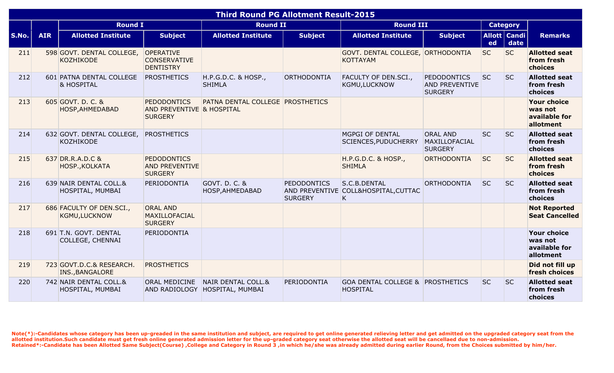|       |            |                                                    |                                                                   | <b>Third Round PG Allotment Result-2015</b>          |                                      |                                                                |                                                               |           |                        |                                                             |
|-------|------------|----------------------------------------------------|-------------------------------------------------------------------|------------------------------------------------------|--------------------------------------|----------------------------------------------------------------|---------------------------------------------------------------|-----------|------------------------|-------------------------------------------------------------|
|       |            | <b>Round I</b>                                     |                                                                   | <b>Round II</b>                                      |                                      | <b>Round III</b>                                               |                                                               |           | <b>Category</b>        |                                                             |
| S.No. | <b>AIR</b> | <b>Allotted Institute</b>                          | <b>Subject</b>                                                    | <b>Allotted Institute</b>                            | <b>Subject</b>                       | <b>Allotted Institute</b>                                      | <b>Subject</b>                                                | ed        | Allott   Candi<br>date | <b>Remarks</b>                                              |
| 211   |            | 598 GOVT. DENTAL COLLEGE,<br><b>KOZHIKODE</b>      | <b>OPERATIVE</b><br><b>CONSERVATIVE</b><br><b>DENTISTRY</b>       |                                                      |                                      | GOVT. DENTAL COLLEGE, ORTHODONTIA<br><b>KOTTAYAM</b>           |                                                               | <b>SC</b> | <b>SC</b>              | <b>Allotted seat</b><br>from fresh<br>choices               |
| 212   |            | 601 PATNA DENTAL COLLEGE<br><b>&amp; HOSPITAL</b>  | <b>PROSTHETICS</b>                                                | H.P.G.D.C. & HOSP.,<br><b>SHIMLA</b>                 | ORTHODONTIA                          | FACULTY OF DEN.SCI.,<br><b>KGMU,LUCKNOW</b>                    | <b>PEDODONTICS</b><br><b>AND PREVENTIVE</b><br><b>SURGERY</b> | <b>SC</b> | <b>SC</b>              | <b>Allotted seat</b><br>from fresh<br>choices               |
| 213   |            | 605 GOVT. D. C. &<br>HOSP, AHMEDABAD               | <b>PEDODONTICS</b><br>AND PREVENTIVE & HOSPITAL<br><b>SURGERY</b> | PATNA DENTAL COLLEGE PROSTHETICS                     |                                      |                                                                |                                                               |           |                        | <b>Your choice</b><br>was not<br>available for<br>allotment |
| 214   |            | 632 GOVT. DENTAL COLLEGE,<br><b>KOZHIKODE</b>      | <b>PROSTHETICS</b>                                                |                                                      |                                      | MGPGI OF DENTAL<br><b>SCIENCES, PUDUCHERRY</b>                 | <b>ORAL AND</b><br><b>MAXILLOFACIAL</b><br><b>SURGERY</b>     | <b>SC</b> | <b>SC</b>              | <b>Allotted seat</b><br>from fresh<br>choices               |
| 215   |            | 637 DR.R.A.D.C &<br>HOSP., KOLKATA                 | <b>PEDODONTICS</b><br><b>AND PREVENTIVE</b><br><b>SURGERY</b>     |                                                      |                                      | H.P.G.D.C. & HOSP.,<br><b>SHIMLA</b>                           | <b>ORTHODONTIA</b>                                            | <b>SC</b> | <b>SC</b>              | <b>Allotted seat</b><br>from fresh<br>choices               |
| 216   |            | 639 NAIR DENTAL COLL.&<br>HOSPITAL, MUMBAI         | PERIODONTIA                                                       | GOVT. D. C. &<br>HOSP, AHMEDABAD                     | <b>PEDODONTICS</b><br><b>SURGERY</b> | S.C.B.DENTAL<br>AND PREVENTIVE COLL&HOSPITAL, CUTTAC<br>K      | <b>ORTHODONTIA</b>                                            | <b>SC</b> | <b>SC</b>              | <b>Allotted seat</b><br>from fresh<br>choices               |
| 217   |            | 686 FACULTY OF DEN.SCI.,<br><b>KGMU,LUCKNOW</b>    | <b>ORAL AND</b><br>MAXILLOFACIAL<br><b>SURGERY</b>                |                                                      |                                      |                                                                |                                                               |           |                        | <b>Not Reported</b><br><b>Seat Cancelled</b>                |
| 218   |            | 691 T.N. GOVT. DENTAL<br>COLLEGE, CHENNAI          | PERIODONTIA                                                       |                                                      |                                      |                                                                |                                                               |           |                        | <b>Your choice</b><br>was not<br>available for<br>allotment |
| 219   |            | 723 GOVT.D.C.& RESEARCH.<br><b>INS., BANGALORE</b> | <b>PROSTHETICS</b>                                                |                                                      |                                      |                                                                |                                                               |           |                        | Did not fill up<br>fresh choices                            |
| 220   |            | 742 NAIR DENTAL COLL.&<br>HOSPITAL, MUMBAI         | <b>ORAL MEDICINE</b>                                              | NAIR DENTAL COLL.&<br>AND RADIOLOGY HOSPITAL, MUMBAI | PERIODONTIA                          | <b>GOA DENTAL COLLEGE &amp; PROSTHETICS</b><br><b>HOSPITAL</b> |                                                               | <b>SC</b> | <b>SC</b>              | <b>Allotted seat</b><br>from fresh<br>choices               |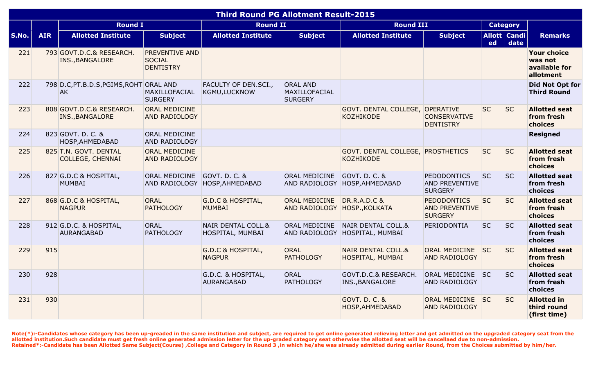| <b>Third Round PG Allotment Result-2015</b> |            |                                                  |                                                            |                                                   |                                                    |                                                       |                                                               |           |                             |                                                             |
|---------------------------------------------|------------|--------------------------------------------------|------------------------------------------------------------|---------------------------------------------------|----------------------------------------------------|-------------------------------------------------------|---------------------------------------------------------------|-----------|-----------------------------|-------------------------------------------------------------|
|                                             |            | <b>Round I</b>                                   |                                                            | <b>Round II</b>                                   |                                                    | <b>Round III</b>                                      |                                                               |           | <b>Category</b>             |                                                             |
| S.No.                                       | <b>AIR</b> | <b>Allotted Institute</b>                        | <b>Subject</b>                                             | <b>Allotted Institute</b>                         | <b>Subject</b>                                     | <b>Allotted Institute</b>                             | <b>Subject</b>                                                | ed        | <b>Allott Candi</b><br>date | <b>Remarks</b>                                              |
| 221                                         |            | 793 GOVT.D.C.& RESEARCH.<br>INS., BANGALORE      | <b>PREVENTIVE AND</b><br><b>SOCIAL</b><br><b>DENTISTRY</b> |                                                   |                                                    |                                                       |                                                               |           |                             | <b>Your choice</b><br>was not<br>available for<br>allotment |
| 222                                         |            | 798 D.C, PT.B.D.S, PGIMS, ROHT ORAL AND<br>AK    | MAXILLOFACIAL<br><b>SURGERY</b>                            | FACULTY OF DEN.SCI.,<br>KGMU, LUCKNOW             | <b>ORAL AND</b><br>MAXILLOFACIAL<br><b>SURGERY</b> |                                                       |                                                               |           |                             | <b>Did Not Opt for</b><br><b>Third Round</b>                |
| 223                                         |            | 808 GOVT.D.C.& RESEARCH.<br>INS., BANGALORE      | <b>ORAL MEDICINE</b><br><b>AND RADIOLOGY</b>               |                                                   |                                                    | GOVT. DENTAL COLLEGE, OPERATIVE<br><b>KOZHIKODE</b>   | <b>CONSERVATIVE</b><br><b>DENTISTRY</b>                       | <b>SC</b> | <b>SC</b>                   | <b>Allotted seat</b><br>from fresh<br>choices               |
| 224                                         |            | 823 GOVT. D. C. &<br>HOSP, AHMEDABAD             | <b>ORAL MEDICINE</b><br><b>AND RADIOLOGY</b>               |                                                   |                                                    |                                                       |                                                               |           |                             | <b>Resigned</b>                                             |
| 225                                         |            | 825 T.N. GOVT. DENTAL<br><b>COLLEGE, CHENNAI</b> | <b>ORAL MEDICINE</b><br><b>AND RADIOLOGY</b>               |                                                   |                                                    | GOVT. DENTAL COLLEGE, PROSTHETICS<br><b>KOZHIKODE</b> |                                                               | <b>SC</b> | <b>SC</b>                   | <b>Allotted seat</b><br>from fresh<br>choices               |
| 226                                         |            | 827 G.D.C & HOSPITAL,<br><b>MUMBAI</b>           | <b>ORAL MEDICINE</b>                                       | GOVT. D. C. &<br>AND RADIOLOGY HOSP, AHMEDABAD    | ORAL MEDICINE                                      | GOVT. D. C. &<br>AND RADIOLOGY HOSP, AHMEDABAD        | <b>PEDODONTICS</b><br><b>AND PREVENTIVE</b><br><b>SURGERY</b> | <b>SC</b> | <b>SC</b>                   | <b>Allotted seat</b><br>from fresh<br>choices               |
| 227                                         |            | 868 G.D.C & HOSPITAL,<br><b>NAGPUR</b>           | <b>ORAL</b><br><b>PATHOLOGY</b>                            | <b>G.D.C &amp; HOSPITAL,</b><br><b>MUMBAI</b>     | ORAL MEDICINE<br>AND RADIOLOGY HOSP., KOLKATA      | <b>DR.R.A.D.C &amp;</b>                               | <b>PEDODONTICS</b><br><b>AND PREVENTIVE</b><br><b>SURGERY</b> | <b>SC</b> | <b>SC</b>                   | <b>Allotted seat</b><br>from fresh<br>choices               |
| 228                                         |            | 912 G.D.C. & HOSPITAL,<br><b>AURANGABAD</b>      | ORAL<br><b>PATHOLOGY</b>                                   | <b>NAIR DENTAL COLL.&amp;</b><br>HOSPITAL, MUMBAI | ORAL MEDICINE<br>AND RADIOLOGY                     | <b>NAIR DENTAL COLL.&amp;</b><br>HOSPITAL, MUMBAI     | PERIODONTIA                                                   | <b>SC</b> | <b>SC</b>                   | <b>Allotted seat</b><br>from fresh<br>choices               |
| 229                                         | 915        |                                                  |                                                            | <b>G.D.C &amp; HOSPITAL,</b><br><b>NAGPUR</b>     | <b>ORAL</b><br><b>PATHOLOGY</b>                    | <b>NAIR DENTAL COLL.&amp;</b><br>HOSPITAL, MUMBAI     | ORAL MEDICINE<br><b>AND RADIOLOGY</b>                         | <b>SC</b> | <b>SC</b>                   | <b>Allotted seat</b><br>from fresh<br>choices               |
| 230                                         | 928        |                                                  |                                                            | G.D.C. & HOSPITAL,<br><b>AURANGABAD</b>           | <b>ORAL</b><br><b>PATHOLOGY</b>                    | GOVT.D.C.& RESEARCH.<br>INS., BANGALORE               | ORAL MEDICINE SC<br>AND RADIOLOGY                             |           | <b>SC</b>                   | <b>Allotted seat</b><br>from fresh<br>choices               |
| 231                                         | 930        |                                                  |                                                            |                                                   |                                                    | <b>GOVT. D. C. &amp;</b><br>HOSP, AHMEDABAD           | ORAL MEDICINE SC<br><b>AND RADIOLOGY</b>                      |           | <b>SC</b>                   | <b>Allotted in</b><br>third round<br>(first time)           |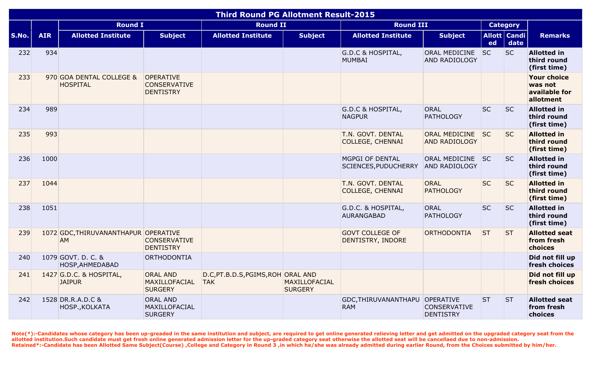|       |            |                                             |                                                             | <b>Third Round PG Allotment Result-2015</b>      |                                 |                                                |                                              |           |                        |                                                             |
|-------|------------|---------------------------------------------|-------------------------------------------------------------|--------------------------------------------------|---------------------------------|------------------------------------------------|----------------------------------------------|-----------|------------------------|-------------------------------------------------------------|
|       |            | <b>Round I</b>                              |                                                             | <b>Round II</b>                                  |                                 | <b>Round III</b>                               |                                              |           | <b>Category</b>        |                                                             |
| S.No. | <b>AIR</b> | <b>Allotted Institute</b>                   | <b>Subject</b>                                              | <b>Allotted Institute</b>                        | <b>Subject</b>                  | <b>Allotted Institute</b>                      | <b>Subject</b>                               | ed        | Allott   Candi<br>date | <b>Remarks</b>                                              |
| 232   | 934        |                                             |                                                             |                                                  |                                 | <b>G.D.C &amp; HOSPITAL,</b><br>MUMBAI         | ORAL MEDICINE<br><b>AND RADIOLOGY</b>        | <b>SC</b> | <b>SC</b>              | <b>Allotted in</b><br>third round<br>(first time)           |
| 233   |            | 970 GOA DENTAL COLLEGE &<br><b>HOSPITAL</b> | <b>OPERATIVE</b><br><b>CONSERVATIVE</b><br><b>DENTISTRY</b> |                                                  |                                 |                                                |                                              |           |                        | <b>Your choice</b><br>was not<br>available for<br>allotment |
| 234   | 989        |                                             |                                                             |                                                  |                                 | G.D.C & HOSPITAL,<br><b>NAGPUR</b>             | <b>ORAL</b><br><b>PATHOLOGY</b>              | <b>SC</b> | <b>SC</b>              | <b>Allotted in</b><br>third round<br>(first time)           |
| 235   | 993        |                                             |                                                             |                                                  |                                 | T.N. GOVT. DENTAL<br><b>COLLEGE, CHENNAI</b>   | <b>ORAL MEDICINE</b><br><b>AND RADIOLOGY</b> | SC        | <b>SC</b>              | <b>Allotted in</b><br>third round<br>(first time)           |
| 236   | 1000       |                                             |                                                             |                                                  |                                 | <b>MGPGI OF DENTAL</b><br>SCIENCES, PUDUCHERRY | ORAL MEDICINE SC<br><b>AND RADIOLOGY</b>     |           | <b>SC</b>              | <b>Allotted in</b><br>third round<br>(first time)           |
| 237   | 1044       |                                             |                                                             |                                                  |                                 | T.N. GOVT. DENTAL<br><b>COLLEGE, CHENNAI</b>   | <b>ORAL</b><br><b>PATHOLOGY</b>              | <b>SC</b> | <b>SC</b>              | <b>Allotted in</b><br>third round<br>(first time)           |
| 238   | 1051       |                                             |                                                             |                                                  |                                 | G.D.C. & HOSPITAL,<br><b>AURANGABAD</b>        | <b>ORAL</b><br><b>PATHOLOGY</b>              | <b>SC</b> | <b>SC</b>              | <b>Allotted in</b><br>third round<br>(first time)           |
| 239   |            | 1072 GDC, THIRUVANANTHAPUR OPERATIVE<br>AM  | <b>CONSERVATIVE</b><br><b>DENTISTRY</b>                     |                                                  |                                 | <b>GOVT COLLEGE OF</b><br>DENTISTRY, INDORE    | ORTHODONTIA                                  | <b>ST</b> | <b>ST</b>              | <b>Allotted seat</b><br>from fresh<br>choices               |
| 240   |            | 1079 GOVT. D. C. &<br>HOSP, AHMEDABAD       | ORTHODONTIA                                                 |                                                  |                                 |                                                |                                              |           |                        | Did not fill up<br>fresh choices                            |
| 241   |            | 1427 G.D.C. & HOSPITAL,<br><b>JAIPUR</b>    | <b>ORAL AND</b><br>MAXILLOFACIAL<br><b>SURGERY</b>          | D.C, PT.B.D.S, PGIMS, ROH ORAL AND<br><b>TAK</b> | MAXILLOFACIAL<br><b>SURGERY</b> |                                                |                                              |           |                        | Did not fill up<br>fresh choices                            |
| 242   |            | 1528 DR.R.A.D.C &<br>HOSP., KOLKATA         | <b>ORAL AND</b><br>MAXILLOFACIAL<br><b>SURGERY</b>          |                                                  |                                 | GDC, THIRUVANANTHAPU OPERATIVE<br><b>RAM</b>   | <b>CONSERVATIVE</b><br><b>DENTISTRY</b>      | <b>ST</b> | <b>ST</b>              | <b>Allotted seat</b><br>from fresh<br>choices               |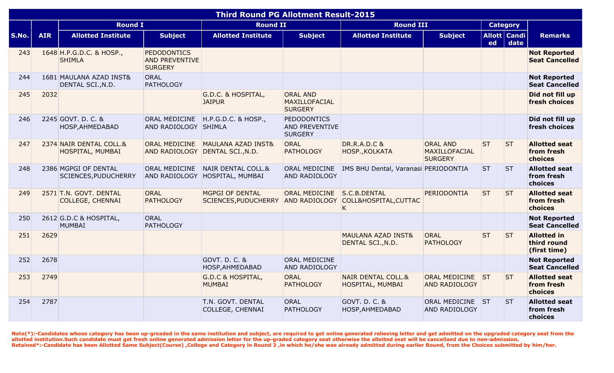| <b>Third Round PG Allotment Result-2015</b> |            |                                                   |                                                               |                                                                  |                                                               |                                                    |                                                    |           |                        |                                                   |
|---------------------------------------------|------------|---------------------------------------------------|---------------------------------------------------------------|------------------------------------------------------------------|---------------------------------------------------------------|----------------------------------------------------|----------------------------------------------------|-----------|------------------------|---------------------------------------------------|
|                                             |            | <b>Round I</b>                                    |                                                               | <b>Round II</b>                                                  |                                                               | <b>Round III</b>                                   |                                                    |           | <b>Category</b>        |                                                   |
| S.No.                                       | <b>AIR</b> | <b>Allotted Institute</b>                         | <b>Subject</b>                                                | <b>Allotted Institute</b>                                        | <b>Subject</b>                                                | <b>Allotted Institute</b>                          | <b>Subject</b>                                     | ed        | Allott   Candi<br>date | <b>Remarks</b>                                    |
| 243                                         |            | 1648 H.P.G.D.C. & HOSP.,<br><b>SHIMLA</b>         | <b>PEDODONTICS</b><br><b>AND PREVENTIVE</b><br><b>SURGERY</b> |                                                                  |                                                               |                                                    |                                                    |           |                        | <b>Not Reported</b><br><b>Seat Cancelled</b>      |
| 244                                         |            | 1681 MAULANA AZAD INST&<br>DENTAL SCI., N.D.      | ORAL<br><b>PATHOLOGY</b>                                      |                                                                  |                                                               |                                                    |                                                    |           |                        | <b>Not Reported</b><br><b>Seat Cancelled</b>      |
| 245                                         | 2032       |                                                   |                                                               | G.D.C. & HOSPITAL,<br><b>JAIPUR</b>                              | <b>ORAL AND</b><br>MAXILLOFACIAL<br><b>SURGERY</b>            |                                                    |                                                    |           |                        | Did not fill up<br>fresh choices                  |
| 246                                         |            | 2245 GOVT. D. C. &<br>HOSP, AHMEDABAD             | ORAL MEDICINE<br>AND RADIOLOGY SHIMLA                         | H.P.G.D.C. & HOSP.,                                              | <b>PEDODONTICS</b><br><b>AND PREVENTIVE</b><br><b>SURGERY</b> |                                                    |                                                    |           |                        | Did not fill up<br>fresh choices                  |
| 247                                         |            | 2374 NAIR DENTAL COLL.&<br>HOSPITAL, MUMBAI       | <b>ORAL MEDICINE</b>                                          | <b>MAULANA AZAD INST&amp;</b><br>AND RADIOLOGY DENTAL SCI., N.D. | <b>ORAL</b><br><b>PATHOLOGY</b>                               | <b>DR.R.A.D.C &amp;</b><br>HOSP., KOLKATA          | <b>ORAL AND</b><br>MAXILLOFACIAL<br><b>SURGERY</b> | <b>ST</b> | <b>ST</b>              | <b>Allotted seat</b><br>from fresh<br>choices     |
| 248                                         |            | 2386 MGPGI OF DENTAL<br>SCIENCES, PUDUCHERRY      | <b>ORAL MEDICINE</b>                                          | NAIR DENTAL COLL.&<br>AND RADIOLOGY HOSPITAL, MUMBAI             | ORAL MEDICINE<br><b>AND RADIOLOGY</b>                         | IMS BHU Dental, Varanasi PERIODONTIA               |                                                    | <b>ST</b> | <b>ST</b>              | <b>Allotted seat</b><br>from fresh<br>choices     |
| 249                                         |            | 2571 T.N. GOVT. DENTAL<br><b>COLLEGE, CHENNAI</b> | <b>ORAL</b><br><b>PATHOLOGY</b>                               | MGPGI OF DENTAL<br><b>SCIENCES, PUDUCHERRY</b>                   | ORAL MEDICINE<br><b>AND RADIOLOGY</b>                         | S.C.B.DENTAL<br>COLL&HOSPITAL, CUTTAC<br>K         | PERIODONTIA                                        | <b>ST</b> | <b>ST</b>              | <b>Allotted seat</b><br>from fresh<br>choices     |
| 250                                         |            | 2612 G.D.C & HOSPITAL,<br><b>MUMBAI</b>           | ORAL<br><b>PATHOLOGY</b>                                      |                                                                  |                                                               |                                                    |                                                    |           |                        | <b>Not Reported</b><br><b>Seat Cancelled</b>      |
| 251                                         | 2629       |                                                   |                                                               |                                                                  |                                                               | <b>MAULANA AZAD INST&amp;</b><br>DENTAL SCI., N.D. | <b>ORAL</b><br><b>PATHOLOGY</b>                    | <b>ST</b> | <b>ST</b>              | <b>Allotted in</b><br>third round<br>(first time) |
| 252                                         | 2678       |                                                   |                                                               | GOVT. D. C. &<br>HOSP, AHMEDABAD                                 | ORAL MEDICINE<br>AND RADIOLOGY                                |                                                    |                                                    |           |                        | <b>Not Reported</b><br><b>Seat Cancelled</b>      |
| 253                                         | 2749       |                                                   |                                                               | <b>G.D.C &amp; HOSPITAL,</b><br><b>MUMBAI</b>                    | <b>ORAL</b><br><b>PATHOLOGY</b>                               | <b>NAIR DENTAL COLL.&amp;</b><br>HOSPITAL, MUMBAI  | ORAL MEDICINE ST<br><b>AND RADIOLOGY</b>           |           | <b>ST</b>              | <b>Allotted seat</b><br>from fresh<br>choices     |
| 254                                         | 2787       |                                                   |                                                               | T.N. GOVT. DENTAL<br><b>COLLEGE, CHENNAI</b>                     | <b>ORAL</b><br><b>PATHOLOGY</b>                               | GOVT. D. C. &<br>HOSP, AHMEDABAD                   | ORAL MEDICINE ST<br><b>AND RADIOLOGY</b>           |           | <b>ST</b>              | <b>Allotted seat</b><br>from fresh<br>choices     |